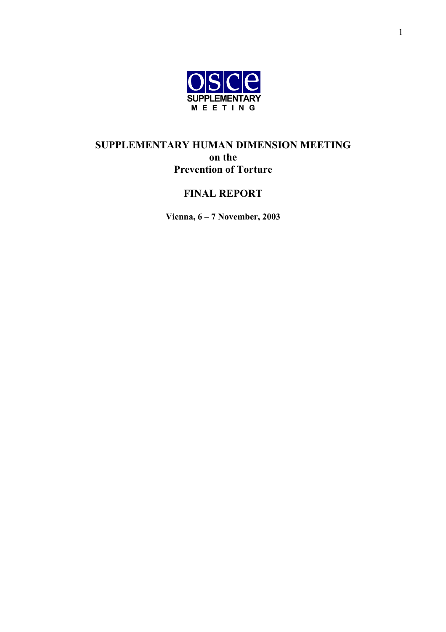

# **SUPPLEMENTARY HUMAN DIMENSION MEETING on the Prevention of Torture**

# **FINAL REPORT**

**Vienna, 6 – 7 November, 2003**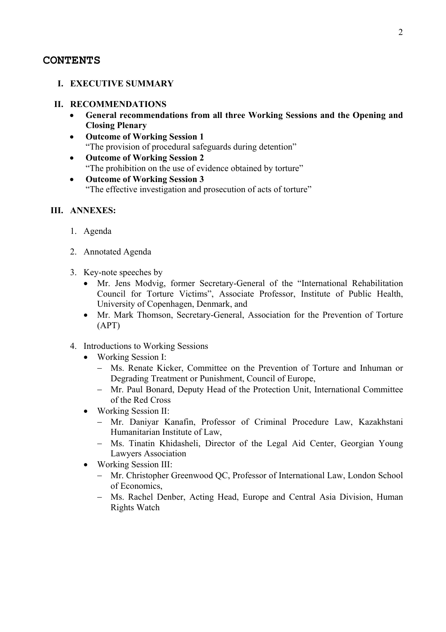#### **CONTENTS**

#### **I. EXECUTIVE SUMMARY**

#### **II. RECOMMENDATIONS**

- **General recommendations from all three Working Sessions and the Opening and Closing Plenary**
- **Outcome of Working Session 1** "The provision of procedural safeguards during detention"
- **Outcome of Working Session 2** "The prohibition on the use of evidence obtained by torture"
- **Outcome of Working Session 3** "The effective investigation and prosecution of acts of torture"

#### **III. ANNEXES:**

- 1. Agenda
- 2. Annotated Agenda
- 3. Key-note speeches by
	- Mr. Jens Modvig, former Secretary-General of the "International Rehabilitation Council for Torture Victims", Associate Professor, Institute of Public Health, University of Copenhagen, Denmark, and
	- Mr. Mark Thomson, Secretary-General, Association for the Prevention of Torture (APT)
- 4. Introductions to Working Sessions
	- Working Session I:
		- − Ms. Renate Kicker, Committee on the Prevention of Torture and Inhuman or Degrading Treatment or Punishment, Council of Europe,
		- − Mr. Paul Bonard, Deputy Head of the Protection Unit, International Committee of the Red Cross
	- Working Session II:
		- − Mr. Daniyar Kanafin, Professor of Criminal Procedure Law, Kazakhstani Humanitarian Institute of Law,
		- − Ms. Tinatin Khidasheli, Director of the Legal Aid Center, Georgian Young Lawyers Association
	- Working Session III:
		- − Mr. Christopher Greenwood QC, Professor of International Law, London School of Economics,
		- − Ms. Rachel Denber, Acting Head, Europe and Central Asia Division, Human Rights Watch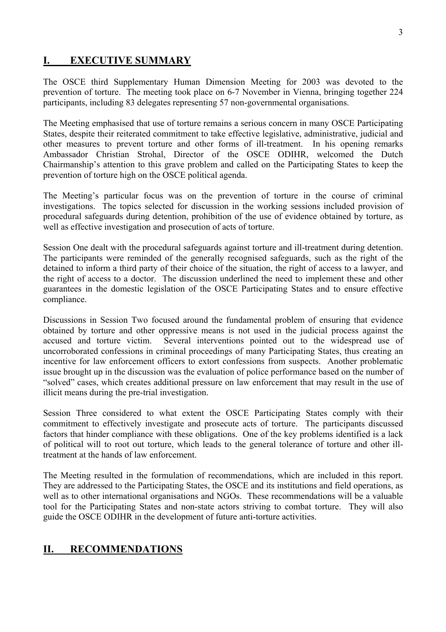# **I. EXECUTIVE SUMMARY**

The OSCE third Supplementary Human Dimension Meeting for 2003 was devoted to the prevention of torture. The meeting took place on 6-7 November in Vienna, bringing together 224 participants, including 83 delegates representing 57 non-governmental organisations.

The Meeting emphasised that use of torture remains a serious concern in many OSCE Participating States, despite their reiterated commitment to take effective legislative, administrative, judicial and other measures to prevent torture and other forms of ill-treatment. In his opening remarks Ambassador Christian Strohal, Director of the OSCE ODIHR, welcomed the Dutch Chairmanship's attention to this grave problem and called on the Participating States to keep the prevention of torture high on the OSCE political agenda.

The Meeting's particular focus was on the prevention of torture in the course of criminal investigations. The topics selected for discussion in the working sessions included provision of procedural safeguards during detention, prohibition of the use of evidence obtained by torture, as well as effective investigation and prosecution of acts of torture.

Session One dealt with the procedural safeguards against torture and ill-treatment during detention. The participants were reminded of the generally recognised safeguards, such as the right of the detained to inform a third party of their choice of the situation, the right of access to a lawyer, and the right of access to a doctor. The discussion underlined the need to implement these and other guarantees in the domestic legislation of the OSCE Participating States and to ensure effective compliance.

Discussions in Session Two focused around the fundamental problem of ensuring that evidence obtained by torture and other oppressive means is not used in the judicial process against the accused and torture victim. Several interventions pointed out to the widespread use of uncorroborated confessions in criminal proceedings of many Participating States, thus creating an incentive for law enforcement officers to extort confessions from suspects. Another problematic issue brought up in the discussion was the evaluation of police performance based on the number of "solved" cases, which creates additional pressure on law enforcement that may result in the use of illicit means during the pre-trial investigation.

Session Three considered to what extent the OSCE Participating States comply with their commitment to effectively investigate and prosecute acts of torture. The participants discussed factors that hinder compliance with these obligations. One of the key problems identified is a lack of political will to root out torture, which leads to the general tolerance of torture and other illtreatment at the hands of law enforcement.

The Meeting resulted in the formulation of recommendations, which are included in this report. They are addressed to the Participating States, the OSCE and its institutions and field operations, as well as to other international organisations and NGOs. These recommendations will be a valuable tool for the Participating States and non-state actors striving to combat torture. They will also guide the OSCE ODIHR in the development of future anti-torture activities.

# **II. RECOMMENDATIONS**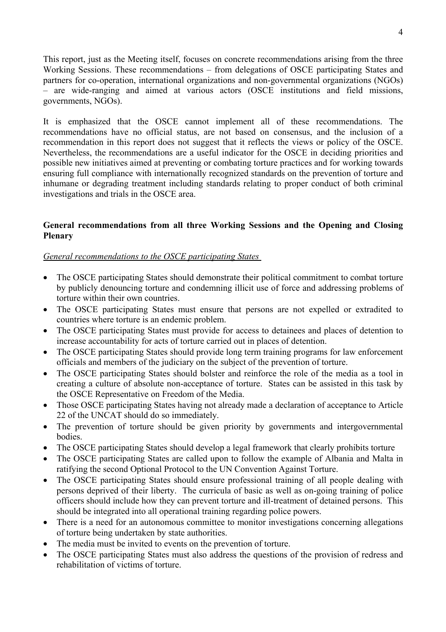This report, just as the Meeting itself, focuses on concrete recommendations arising from the three Working Sessions. These recommendations – from delegations of OSCE participating States and partners for co-operation, international organizations and non-governmental organizations (NGOs) – are wide-ranging and aimed at various actors (OSCE institutions and field missions, governments, NGOs).

It is emphasized that the OSCE cannot implement all of these recommendations. The recommendations have no official status, are not based on consensus, and the inclusion of a recommendation in this report does not suggest that it reflects the views or policy of the OSCE. Nevertheless, the recommendations are a useful indicator for the OSCE in deciding priorities and possible new initiatives aimed at preventing or combating torture practices and for working towards ensuring full compliance with internationally recognized standards on the prevention of torture and inhumane or degrading treatment including standards relating to proper conduct of both criminal investigations and trials in the OSCE area.

#### **General recommendations from all three Working Sessions and the Opening and Closing Plenary**

#### *General recommendations to the OSCE participating States*

- The OSCE participating States should demonstrate their political commitment to combat torture by publicly denouncing torture and condemning illicit use of force and addressing problems of torture within their own countries.
- The OSCE participating States must ensure that persons are not expelled or extradited to countries where torture is an endemic problem.
- The OSCE participating States must provide for access to detainees and places of detention to increase accountability for acts of torture carried out in places of detention.
- The OSCE participating States should provide long term training programs for law enforcement officials and members of the judiciary on the subject of the prevention of torture.
- The OSCE participating States should bolster and reinforce the role of the media as a tool in creating a culture of absolute non-acceptance of torture. States can be assisted in this task by the OSCE Representative on Freedom of the Media.
- Those OSCE participating States having not already made a declaration of acceptance to Article 22 of the UNCAT should do so immediately.
- The prevention of torture should be given priority by governments and intergovernmental **bodies**
- The OSCE participating States should develop a legal framework that clearly prohibits torture
- The OSCE participating States are called upon to follow the example of Albania and Malta in ratifying the second Optional Protocol to the UN Convention Against Torture.
- The OSCE participating States should ensure professional training of all people dealing with persons deprived of their liberty. The curricula of basic as well as on-going training of police officers should include how they can prevent torture and ill-treatment of detained persons. This should be integrated into all operational training regarding police powers.
- There is a need for an autonomous committee to monitor investigations concerning allegations of torture being undertaken by state authorities.
- The media must be invited to events on the prevention of torture.
- The OSCE participating States must also address the questions of the provision of redress and rehabilitation of victims of torture.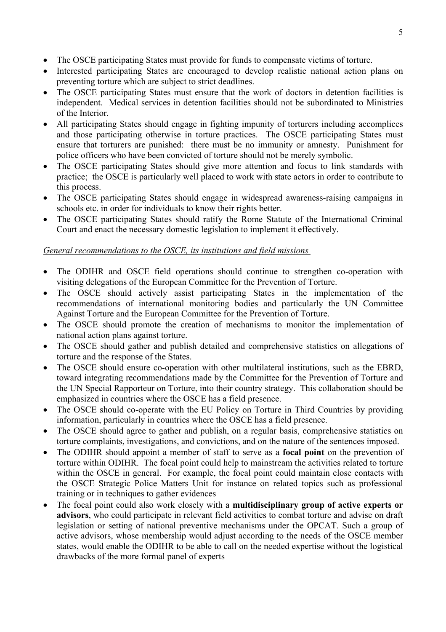- The OSCE participating States must provide for funds to compensate victims of torture.
- Interested participating States are encouraged to develop realistic national action plans on preventing torture which are subject to strict deadlines.
- The OSCE participating States must ensure that the work of doctors in detention facilities is independent. Medical services in detention facilities should not be subordinated to Ministries of the Interior.
- All participating States should engage in fighting impunity of torturers including accomplices and those participating otherwise in torture practices. The OSCE participating States must ensure that torturers are punished: there must be no immunity or amnesty. Punishment for police officers who have been convicted of torture should not be merely symbolic.
- The OSCE participating States should give more attention and focus to link standards with practice; the OSCE is particularly well placed to work with state actors in order to contribute to this process.
- The OSCE participating States should engage in widespread awareness-raising campaigns in schools etc. in order for individuals to know their rights better.
- The OSCE participating States should ratify the Rome Statute of the International Criminal Court and enact the necessary domestic legislation to implement it effectively.

## *General recommendations to the OSCE, its institutions and field missions*

- The ODIHR and OSCE field operations should continue to strengthen co-operation with visiting delegations of the European Committee for the Prevention of Torture.
- The OSCE should actively assist participating States in the implementation of the recommendations of international monitoring bodies and particularly the UN Committee Against Torture and the European Committee for the Prevention of Torture.
- The OSCE should promote the creation of mechanisms to monitor the implementation of national action plans against torture.
- The OSCE should gather and publish detailed and comprehensive statistics on allegations of torture and the response of the States.
- The OSCE should ensure co-operation with other multilateral institutions, such as the EBRD, toward integrating recommendations made by the Committee for the Prevention of Torture and the UN Special Rapporteur on Torture, into their country strategy. This collaboration should be emphasized in countries where the OSCE has a field presence.
- The OSCE should co-operate with the EU Policy on Torture in Third Countries by providing information, particularly in countries where the OSCE has a field presence.
- The OSCE should agree to gather and publish, on a regular basis, comprehensive statistics on torture complaints, investigations, and convictions, and on the nature of the sentences imposed.
- The ODIHR should appoint a member of staff to serve as a **focal point** on the prevention of torture within ODIHR. The focal point could help to mainstream the activities related to torture within the OSCE in general. For example, the focal point could maintain close contacts with the OSCE Strategic Police Matters Unit for instance on related topics such as professional training or in techniques to gather evidences
- The focal point could also work closely with a **multidisciplinary group of active experts or advisors**, who could participate in relevant field activities to combat torture and advise on draft legislation or setting of national preventive mechanisms under the OPCAT. Such a group of active advisors, whose membership would adjust according to the needs of the OSCE member states, would enable the ODIHR to be able to call on the needed expertise without the logistical drawbacks of the more formal panel of experts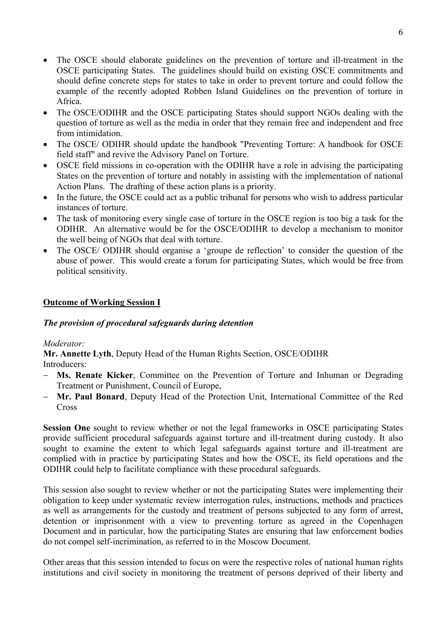- The OSCE should elaborate guidelines on the prevention of torture and ill-treatment in the OSCE participating States. The guidelines should build on existing OSCE commitments and should define concrete steps for states to take in order to prevent torture and could follow the example of the recently adopted Robben Island Guidelines on the prevention of torture in Africa.
- The OSCE/ODIHR and the OSCE participating States should support NGOs dealing with the question of torture as well as the media in order that they remain free and independent and free from intimidation.
- The OSCE/ ODIHR should update the handbook "Preventing Torture: A handbook for OSCE field staff" and revive the Advisory Panel on Torture.
- OSCE field missions in co-operation with the ODIHR have a role in advising the participating States on the prevention of torture and notably in assisting with the implementation of national Action Plans. The drafting of these action plans is a priority.
- In the future, the OSCE could act as a public tribunal for persons who wish to address particular instances of torture.
- The task of monitoring every single case of torture in the OSCE region is too big a task for the ODIHR. An alternative would be for the OSCE/ODIHR to develop a mechanism to monitor the well being of NGOs that deal with torture.
- The OSCE/ ODIHR should organise a 'groupe de reflection' to consider the question of the abuse of power. This would create a forum for participating States, which would be free from political sensitivity.

### **Outcome of Working Session I**

### *The provision of procedural safeguards during detention*

#### *Moderator:*

**Mr. Annette Lyth**, Deputy Head of the Human Rights Section, OSCE/ODIHR Introducers:

- − **Ms. Renate Kicker**, Committee on the Prevention of Torture and Inhuman or Degrading Treatment or Punishment, Council of Europe,
- − **Mr. Paul Bonard**, Deputy Head of the Protection Unit, International Committee of the Red **Cross**

**Session One** sought to review whether or not the legal frameworks in OSCE participating States provide sufficient procedural safeguards against torture and ill-treatment during custody. It also sought to examine the extent to which legal safeguards against torture and ill-treatment are complied with in practice by participating States and how the OSCE, its field operations and the ODIHR could help to facilitate compliance with these procedural safeguards.

This session also sought to review whether or not the participating States were implementing their obligation to keep under systematic review interrogation rules, instructions, methods and practices as well as arrangements for the custody and treatment of persons subjected to any form of arrest, detention or imprisonment with a view to preventing torture as agreed in the Copenhagen Document and in particular, how the participating States are ensuring that law enforcement bodies do not compel self-incrimination, as referred to in the Moscow Document.

Other areas that this session intended to focus on were the respective roles of national human rights institutions and civil society in monitoring the treatment of persons deprived of their liberty and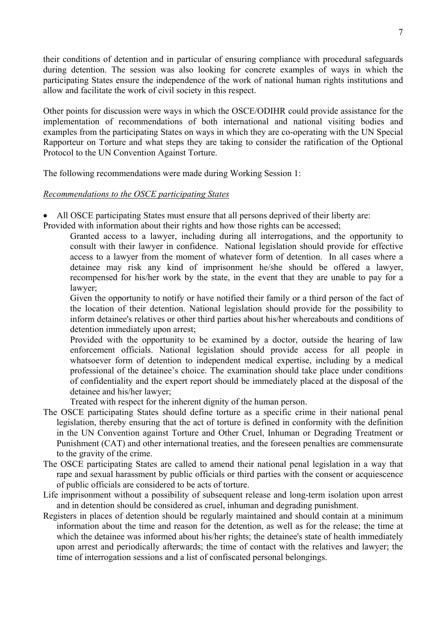their conditions of detention and in particular of ensuring compliance with procedural safeguards during detention. The session was also looking for concrete examples of ways in which the participating States ensure the independence of the work of national human rights institutions and allow and facilitate the work of civil society in this respect.

Other points for discussion were ways in which the OSCE/ODIHR could provide assistance for the implementation of recommendations of both international and national visiting bodies and examples from the participating States on ways in which they are co-operating with the UN Special Rapporteur on Torture and what steps they are taking to consider the ratification of the Optional Protocol to the UN Convention Against Torture.

The following recommendations were made during Working Session 1:

#### *Recommendations to the OSCE participating States*

• All OSCE participating States must ensure that all persons deprived of their liberty are:

Provided with information about their rights and how those rights can be accessed;

Granted access to a lawyer, including during all interrogations, and the opportunity to consult with their lawyer in confidence. National legislation should provide for effective access to a lawyer from the moment of whatever form of detention. In all cases where a detainee may risk any kind of imprisonment he/she should be offered a lawyer, recompensed for his/her work by the state, in the event that they are unable to pay for a lawyer;

Given the opportunity to notify or have notified their family or a third person of the fact of the location of their detention. National legislation should provide for the possibility to inform detainee's relatives or other third parties about his/her whereabouts and conditions of detention immediately upon arrest;

Provided with the opportunity to be examined by a doctor, outside the hearing of law enforcement officials. National legislation should provide access for all people in whatsoever form of detention to independent medical expertise, including by a medical professional of the detainee's choice. The examination should take place under conditions of confidentiality and the expert report should be immediately placed at the disposal of the detainee and his/her lawyer;

Treated with respect for the inherent dignity of the human person.

- The OSCE participating States should define torture as a specific crime in their national penal legislation, thereby ensuring that the act of torture is defined in conformity with the definition in the UN Convention against Torture and Other Cruel, Inhuman or Degrading Treatment or Punishment (CAT) and other international treaties, and the foreseen penalties are commensurate to the gravity of the crime.
- The OSCE participating States are called to amend their national penal legislation in a way that rape and sexual harassment by public officials or third parties with the consent or acquiescence of public officials are considered to be acts of torture.
- Life imprisonment without a possibility of subsequent release and long-term isolation upon arrest and in detention should be considered as cruel, inhuman and degrading punishment.
- Registers in places of detention should be regularly maintained and should contain at a minimum information about the time and reason for the detention, as well as for the release; the time at which the detainee was informed about his/her rights; the detainee's state of health immediately upon arrest and periodically afterwards; the time of contact with the relatives and lawyer; the time of interrogation sessions and a list of confiscated personal belongings.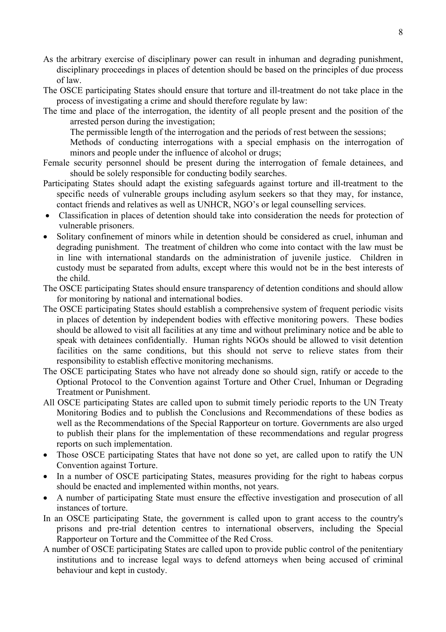- As the arbitrary exercise of disciplinary power can result in inhuman and degrading punishment, disciplinary proceedings in places of detention should be based on the principles of due process of law.
- The OSCE participating States should ensure that torture and ill-treatment do not take place in the process of investigating a crime and should therefore regulate by law:
- The time and place of the interrogation, the identity of all people present and the position of the arrested person during the investigation;

The permissible length of the interrogation and the periods of rest between the sessions;

Methods of conducting interrogations with a special emphasis on the interrogation of minors and people under the influence of alcohol or drugs;

- Female security personnel should be present during the interrogation of female detainees, and should be solely responsible for conducting bodily searches.
- Participating States should adapt the existing safeguards against torture and ill-treatment to the specific needs of vulnerable groups including asylum seekers so that they may, for instance, contact friends and relatives as well as UNHCR, NGO's or legal counselling services.
- Classification in places of detention should take into consideration the needs for protection of vulnerable prisoners.
- Solitary confinement of minors while in detention should be considered as cruel, inhuman and degrading punishment. The treatment of children who come into contact with the law must be in line with international standards on the administration of juvenile justice. Children in custody must be separated from adults, except where this would not be in the best interests of the child.
- The OSCE participating States should ensure transparency of detention conditions and should allow for monitoring by national and international bodies.
- The OSCE participating States should establish a comprehensive system of frequent periodic visits in places of detention by independent bodies with effective monitoring powers. These bodies should be allowed to visit all facilities at any time and without preliminary notice and be able to speak with detainees confidentially. Human rights NGOs should be allowed to visit detention facilities on the same conditions, but this should not serve to relieve states from their responsibility to establish effective monitoring mechanisms.
- The OSCE participating States who have not already done so should sign, ratify or accede to the Optional Protocol to the Convention against Torture and Other Cruel, Inhuman or Degrading Treatment or Punishment.
- All OSCE participating States are called upon to submit timely periodic reports to the UN Treaty Monitoring Bodies and to publish the Conclusions and Recommendations of these bodies as well as the Recommendations of the Special Rapporteur on torture. Governments are also urged to publish their plans for the implementation of these recommendations and regular progress reports on such implementation.
- Those OSCE participating States that have not done so yet, are called upon to ratify the UN Convention against Torture.
- In a number of OSCE participating States, measures providing for the right to habeas corpus should be enacted and implemented within months, not years.
- A number of participating State must ensure the effective investigation and prosecution of all instances of torture.
- In an OSCE participating State, the government is called upon to grant access to the country's prisons and pre-trial detention centres to international observers, including the Special Rapporteur on Torture and the Committee of the Red Cross.
- A number of OSCE participating States are called upon to provide public control of the penitentiary institutions and to increase legal ways to defend attorneys when being accused of criminal behaviour and kept in custody.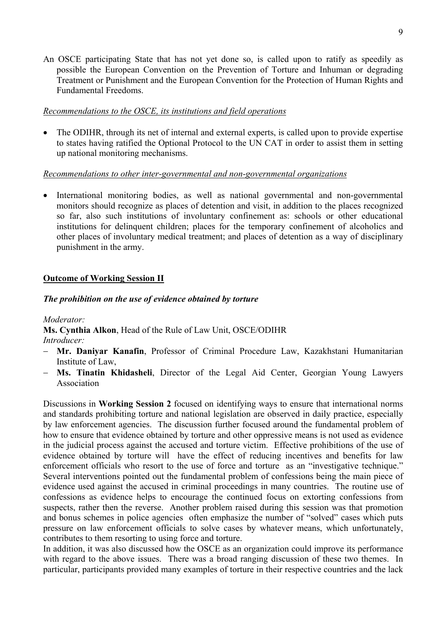An OSCE participating State that has not yet done so, is called upon to ratify as speedily as possible the European Convention on the Prevention of Torture and Inhuman or degrading Treatment or Punishment and the European Convention for the Protection of Human Rights and Fundamental Freedoms.

#### *Recommendations to the OSCE, its institutions and field operations*

• The ODIHR, through its net of internal and external experts, is called upon to provide expertise to states having ratified the Optional Protocol to the UN CAT in order to assist them in setting up national monitoring mechanisms.

### *Recommendations to other inter-governmental and non-governmental organizations*

• International monitoring bodies, as well as national governmental and non-governmental monitors should recognize as places of detention and visit, in addition to the places recognized so far, also such institutions of involuntary confinement as: schools or other educational institutions for delinquent children; places for the temporary confinement of alcoholics and other places of involuntary medical treatment; and places of detention as a way of disciplinary punishment in the army.

### **Outcome of Working Session II**

#### *The prohibition on the use of evidence obtained by torture*

*Moderator:*

**Ms. Cynthia Alkon**, Head of the Rule of Law Unit, OSCE/ODIHR *Introducer:*

- − **Mr. Daniyar Kanafin**, Professor of Criminal Procedure Law, Kazakhstani Humanitarian Institute of Law,
- − **Ms. Tinatin Khidasheli**, Director of the Legal Aid Center, Georgian Young Lawyers Association

Discussions in **Working Session 2** focused on identifying ways to ensure that international norms and standards prohibiting torture and national legislation are observed in daily practice, especially by law enforcement agencies. The discussion further focused around the fundamental problem of how to ensure that evidence obtained by torture and other oppressive means is not used as evidence in the judicial process against the accused and torture victim. Effective prohibitions of the use of evidence obtained by torture will have the effect of reducing incentives and benefits for law enforcement officials who resort to the use of force and torture as an "investigative technique." Several interventions pointed out the fundamental problem of confessions being the main piece of evidence used against the accused in criminal proceedings in many countries. The routine use of confessions as evidence helps to encourage the continued focus on extorting confessions from suspects, rather then the reverse. Another problem raised during this session was that promotion and bonus schemes in police agencies often emphasize the number of "solved" cases which puts pressure on law enforcement officials to solve cases by whatever means, which unfortunately, contributes to them resorting to using force and torture.

In addition, it was also discussed how the OSCE as an organization could improve its performance with regard to the above issues. There was a broad ranging discussion of these two themes. In particular, participants provided many examples of torture in their respective countries and the lack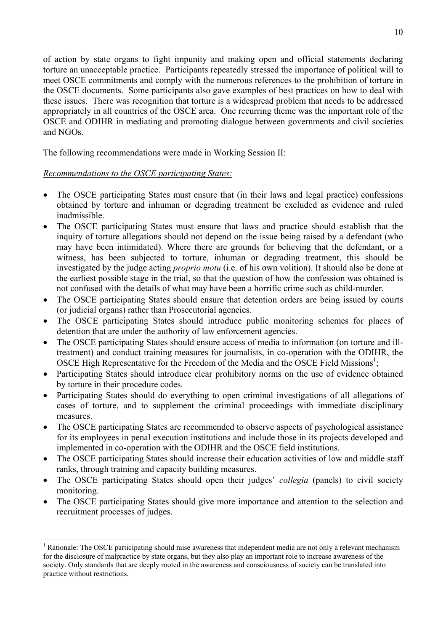of action by state organs to fight impunity and making open and official statements declaring torture an unacceptable practice. Participants repeatedly stressed the importance of political will to meet OSCE commitments and comply with the numerous references to the prohibition of torture in the OSCE documents. Some participants also gave examples of best practices on how to deal with these issues. There was recognition that torture is a widespread problem that needs to be addressed appropriately in all countries of the OSCE area. One recurring theme was the important role of the OSCE and ODIHR in mediating and promoting dialogue between governments and civil societies and NGOs.

The following recommendations were made in Working Session II:

### *Recommendations to the OSCE participating States:*

 $\overline{a}$ 

- The OSCE participating States must ensure that (in their laws and legal practice) confessions obtained by torture and inhuman or degrading treatment be excluded as evidence and ruled inadmissible.
- The OSCE participating States must ensure that laws and practice should establish that the inquiry of torture allegations should not depend on the issue being raised by a defendant (who may have been intimidated). Where there are grounds for believing that the defendant, or a witness, has been subjected to torture, inhuman or degrading treatment, this should be investigated by the judge acting *proprio motu* (i.e. of his own volition). It should also be done at the earliest possible stage in the trial, so that the question of how the confession was obtained is not confused with the details of what may have been a horrific crime such as child-murder.
- The OSCE participating States should ensure that detention orders are being issued by courts (or judicial organs) rather than Prosecutorial agencies.
- The OSCE participating States should introduce public monitoring schemes for places of detention that are under the authority of law enforcement agencies.
- The OSCE participating States should ensure access of media to information (on torture and illtreatment) and conduct training measures for journalists, in co-operation with the ODIHR, the OSCE High Representative for the Freedom of the Media and the OSCE Field Missions<sup>1</sup>;
- Participating States should introduce clear prohibitory norms on the use of evidence obtained by torture in their procedure codes.
- Participating States should do everything to open criminal investigations of all alleg[at](#page-9-0)ions of cases of torture, and to supplement the criminal proceedings with immediate disciplinary measures.
- The OSCE participating States are recommended to observe aspects of psychological assistance for its employees in penal execution institutions and include those in its projects developed and implemented in co-operation with the ODIHR and the OSCE field institutions.
- The OSCE participating States should increase their education activities of low and middle staff ranks, through training and capacity building measures.
- The OSCE participating States should open their judges' *collegia* (panels) to civil society monitoring.
- The OSCE participating States should give more importance and attention to the selection and recruitment processes of judges.

<span id="page-9-0"></span><sup>&</sup>lt;sup>1</sup> Rationale: The OSCE participating should raise awareness that independent media are not only a relevant mechanism for the disclosure of malpractice by state organs, but they also play an important role to increase awareness of the society. Only standards that are deeply rooted in the awareness and consciousness of society can be translated into practice without restrictions.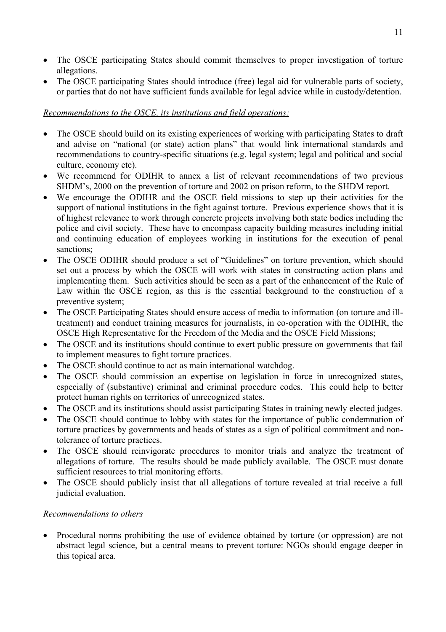- The OSCE participating States should commit themselves to proper investigation of torture allegations.
- The OSCE participating States should introduce (free) legal aid for vulnerable parts of society, or parties that do not have sufficient funds available for legal advice while in custody/detention.

## *Recommendations to the OSCE, its institutions and field operations:*

- The OSCE should build on its existing experiences of working with participating States to draft and advise on "national (or state) action plans" that would link international standards and recommendations to country-specific situations (e.g. legal system; legal and political and social culture, economy etc).
- We recommend for ODIHR to annex a list of relevant recommendations of two previous SHDM's, 2000 on the prevention of torture and 2002 on prison reform, to the SHDM report.
- We encourage the ODIHR and the OSCE field missions to step up their activities for the support of national institutions in the fight against torture. Previous experience shows that it is of highest relevance to work through concrete projects involving both state bodies including the police and civil society. These have to encompass capacity building measures including initial and continuing education of employees working in institutions for the execution of penal sanctions;
- The OSCE ODIHR should produce a set of "Guidelines" on torture prevention, which should set out a process by which the OSCE will work with states in constructing action plans and implementing them. Such activities should be seen as a part of the enhancement of the Rule of Law within the OSCE region, as this is the essential background to the construction of a preventive system;
- The OSCE Participating States should ensure access of media to information (on torture and illtreatment) and conduct training measures for journalists, in co-operation with the ODIHR, the OSCE High Representative for the Freedom of the Media and the OSCE Field Missions;
- The OSCE and its institutions should continue to exert public pressure on governments that fail to implement measures to fight torture practices.
- The OSCE should continue to act as main international watchdog.
- The OSCE should commission an expertise on legislation in force in unrecognized states, especially of (substantive) criminal and criminal procedure codes. This could help to better protect human rights on territories of unrecognized states.
- The OSCE and its institutions should assist participating States in training newly elected judges.
- The OSCE should continue to lobby with states for the importance of public condemnation of torture practices by governments and heads of states as a sign of political commitment and nontolerance of torture practices.
- The OSCE should reinvigorate procedures to monitor trials and analyze the treatment of allegations of torture. The results should be made publicly available. The OSCE must donate sufficient resources to trial monitoring efforts.
- The OSCE should publicly insist that all allegations of torture revealed at trial receive a full judicial evaluation.

## *Recommendations to others*

• Procedural norms prohibiting the use of evidence obtained by torture (or oppression) are not abstract legal science, but a central means to prevent torture: NGOs should engage deeper in this topical area.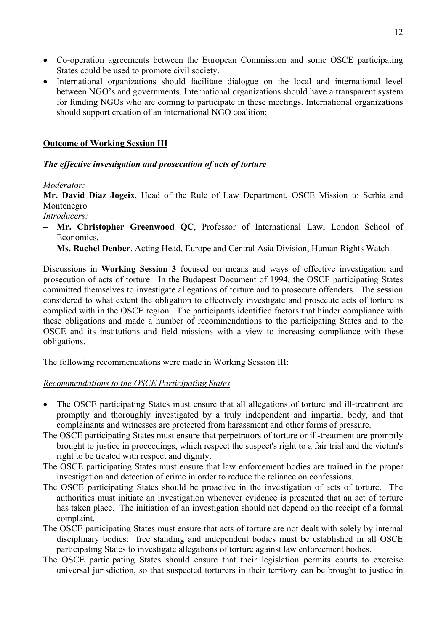- Co-operation agreements between the European Commission and some OSCE participating States could be used to promote civil society.
- International organizations should facilitate dialogue on the local and international level between NGO's and governments. International organizations should have a transparent system for funding NGOs who are coming to participate in these meetings. International organizations should support creation of an international NGO coalition;

### **Outcome of Working Session III**

### *The effective investigation and prosecution of acts of torture*

### *Moderator:*

**Mr. David Diaz Jogeix**, Head of the Rule of Law Department, OSCE Mission to Serbia and Montenegro

*Introducers:*

- − **Mr. Christopher Greenwood QC**, Professor of International Law, London School of Economics,
- − **Ms. Rachel Denber**, Acting Head, Europe and Central Asia Division, Human Rights Watch

Discussions in **Working Session 3** focused on means and ways of effective investigation and prosecution of acts of torture. In the Budapest Document of 1994, the OSCE participating States committed themselves to investigate allegations of torture and to prosecute offenders. The session considered to what extent the obligation to effectively investigate and prosecute acts of torture is complied with in the OSCE region. The participants identified factors that hinder compliance with these obligations and made a number of recommendations to the participating States and to the OSCE and its institutions and field missions with a view to increasing compliance with these obligations.

The following recommendations were made in Working Session III:

### *Recommendations to the OSCE Participating States*

- The OSCE participating States must ensure that all allegations of torture and ill-treatment are promptly and thoroughly investigated by a truly independent and impartial body, and that complainants and witnesses are protected from harassment and other forms of pressure.
- The OSCE participating States must ensure that perpetrators of torture or ill-treatment are promptly brought to justice in proceedings, which respect the suspect's right to a fair trial and the victim's right to be treated with respect and dignity.
- The OSCE participating States must ensure that law enforcement bodies are trained in the proper investigation and detection of crime in order to reduce the reliance on confessions.
- The OSCE participating States should be proactive in the investigation of acts of torture. The authorities must initiate an investigation whenever evidence is presented that an act of torture has taken place. The initiation of an investigation should not depend on the receipt of a formal complaint.
- The OSCE participating States must ensure that acts of torture are not dealt with solely by internal disciplinary bodies: free standing and independent bodies must be established in all OSCE participating States to investigate allegations of torture against law enforcement bodies.
- The OSCE participating States should ensure that their legislation permits courts to exercise universal jurisdiction, so that suspected torturers in their territory can be brought to justice in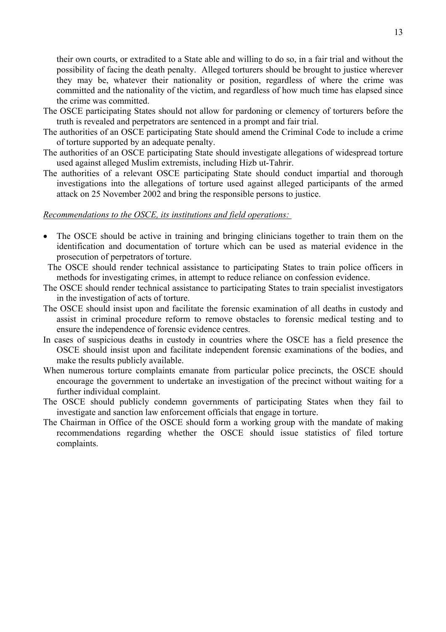their own courts, or extradited to a State able and willing to do so, in a fair trial and without the possibility of facing the death penalty. Alleged torturers should be brought to justice wherever they may be, whatever their nationality or position, regardless of where the crime was committed and the nationality of the victim, and regardless of how much time has elapsed since the crime was committed.

- The OSCE participating States should not allow for pardoning or clemency of torturers before the truth is revealed and perpetrators are sentenced in a prompt and fair trial.
- The authorities of an OSCE participating State should amend the Criminal Code to include a crime of torture supported by an adequate penalty.
- The authorities of an OSCE participating State should investigate allegations of widespread torture used against alleged Muslim extremists, including Hizb ut-Tahrir.
- The authorities of a relevant OSCE participating State should conduct impartial and thorough investigations into the allegations of torture used against alleged participants of the armed attack on 25 November 2002 and bring the responsible persons to justice.

#### *Recommendations to the OSCE, its institutions and field operations:*

- The OSCE should be active in training and bringing clinicians together to train them on the identification and documentation of torture which can be used as material evidence in the prosecution of perpetrators of torture.
- The OSCE should render technical assistance to participating States to train police officers in methods for investigating crimes, in attempt to reduce reliance on confession evidence.
- The OSCE should render technical assistance to participating States to train specialist investigators in the investigation of acts of torture.
- The OSCE should insist upon and facilitate the forensic examination of all deaths in custody and assist in criminal procedure reform to remove obstacles to forensic medical testing and to ensure the independence of forensic evidence centres.
- In cases of suspicious deaths in custody in countries where the OSCE has a field presence the OSCE should insist upon and facilitate independent forensic examinations of the bodies, and make the results publicly available.
- When numerous torture complaints emanate from particular police precincts, the OSCE should encourage the government to undertake an investigation of the precinct without waiting for a further individual complaint.
- The OSCE should publicly condemn governments of participating States when they fail to investigate and sanction law enforcement officials that engage in torture.
- The Chairman in Office of the OSCE should form a working group with the mandate of making recommendations regarding whether the OSCE should issue statistics of filed torture complaints.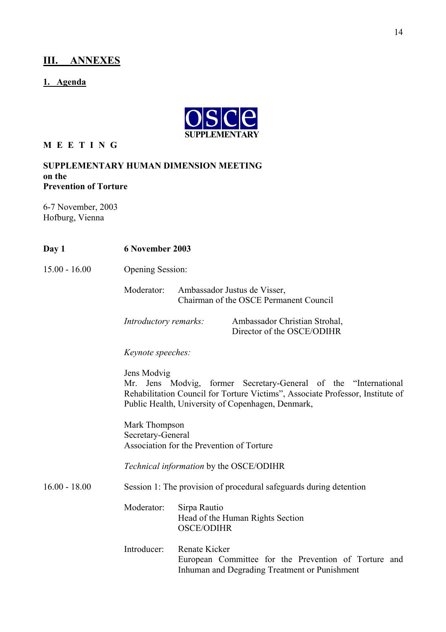# **III. ANNEXES**

# **1. Agenda**



## **M E E T I N G**

#### **SUPPLEMENTARY HUMAN DIMENSION MEETING on the Prevention of Torture**

6-7 November, 2003 Hofburg, Vienna

| Day 1           | 6 November 2003                                                                                                                                                                                                       |                                                                                                                        |  |  |
|-----------------|-----------------------------------------------------------------------------------------------------------------------------------------------------------------------------------------------------------------------|------------------------------------------------------------------------------------------------------------------------|--|--|
| $15.00 - 16.00$ | <b>Opening Session:</b>                                                                                                                                                                                               |                                                                                                                        |  |  |
|                 | Moderator:<br>Ambassador Justus de Visser,<br>Chairman of the OSCE Permanent Council                                                                                                                                  |                                                                                                                        |  |  |
|                 | Introductory remarks:                                                                                                                                                                                                 | Ambassador Christian Strohal,<br>Director of the OSCE/ODIHR                                                            |  |  |
|                 | Keynote speeches:                                                                                                                                                                                                     |                                                                                                                        |  |  |
|                 | Jens Modvig<br>Mr. Jens Modvig, former Secretary-General of the "International<br>Rehabilitation Council for Torture Victims", Associate Professor, Institute of<br>Public Health, University of Copenhagen, Denmark, |                                                                                                                        |  |  |
|                 | Mark Thompson<br>Secretary-General<br>Association for the Prevention of Torture                                                                                                                                       |                                                                                                                        |  |  |
|                 | Technical information by the OSCE/ODIHR                                                                                                                                                                               |                                                                                                                        |  |  |
| $16.00 - 18.00$ | Session 1: The provision of procedural safeguards during detention                                                                                                                                                    |                                                                                                                        |  |  |
|                 | Moderator:                                                                                                                                                                                                            | Sirpa Rautio<br>Head of the Human Rights Section<br><b>OSCE/ODIHR</b>                                                  |  |  |
|                 | Introducer:                                                                                                                                                                                                           | Renate Kicker<br>European Committee for the Prevention of Torture and<br>Inhuman and Degrading Treatment or Punishment |  |  |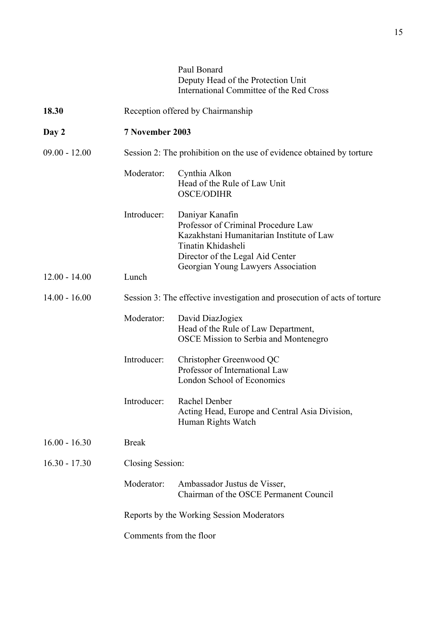|                 |                                                                           | Paul Bonard<br>Deputy Head of the Protection Unit<br>International Committee of the Red Cross                                                                 |  |
|-----------------|---------------------------------------------------------------------------|---------------------------------------------------------------------------------------------------------------------------------------------------------------|--|
| 18.30           | Reception offered by Chairmanship                                         |                                                                                                                                                               |  |
| Day 2           | 7 November 2003                                                           |                                                                                                                                                               |  |
| $09.00 - 12.00$ | Session 2: The prohibition on the use of evidence obtained by torture     |                                                                                                                                                               |  |
|                 | Moderator:                                                                | Cynthia Alkon<br>Head of the Rule of Law Unit<br><b>OSCE/ODIHR</b>                                                                                            |  |
|                 | Introducer:                                                               | Daniyar Kanafin<br>Professor of Criminal Procedure Law<br>Kazakhstani Humanitarian Institute of Law<br>Tinatin Khidasheli<br>Director of the Legal Aid Center |  |
| $12.00 - 14.00$ | Lunch                                                                     | Georgian Young Lawyers Association                                                                                                                            |  |
| $14.00 - 16.00$ | Session 3: The effective investigation and prosecution of acts of torture |                                                                                                                                                               |  |
|                 | Moderator:                                                                | David DiazJogiex<br>Head of the Rule of Law Department,<br><b>OSCE Mission to Serbia and Montenegro</b>                                                       |  |
|                 | Introducer:                                                               | Christopher Greenwood QC<br>Professor of International Law<br>London School of Economics                                                                      |  |
|                 | Introducer:                                                               | Rachel Denber<br>Acting Head, Europe and Central Asia Division,<br>Human Rights Watch                                                                         |  |
| $16.00 - 16.30$ | <b>Break</b>                                                              |                                                                                                                                                               |  |
| $16.30 - 17.30$ | Closing Session:                                                          |                                                                                                                                                               |  |
|                 | Moderator:                                                                | Ambassador Justus de Visser,<br>Chairman of the OSCE Permanent Council                                                                                        |  |
|                 | Reports by the Working Session Moderators                                 |                                                                                                                                                               |  |
|                 | Comments from the floor                                                   |                                                                                                                                                               |  |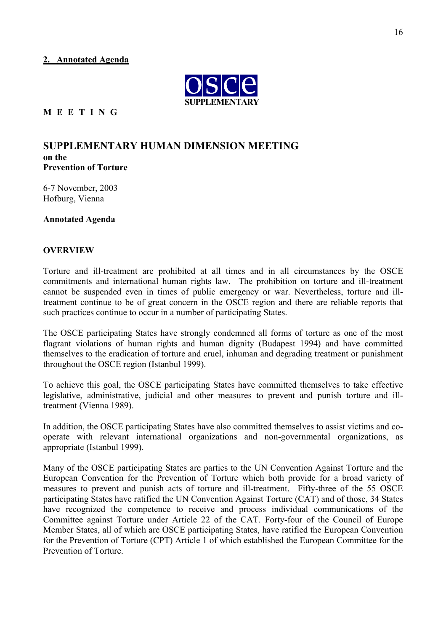#### **2. Annotated Agenda**



#### **M E E T I N G**

#### **SUPPLEMENTARY HUMAN DIMENSION MEETING on the Prevention of Torture**

6-7 November, 2003 Hofburg, Vienna

**Annotated Agenda**

#### **OVERVIEW**

Torture and ill-treatment are prohibited at all times and in all circumstances by the OSCE commitments and international human rights law. The prohibition on torture and ill-treatment cannot be suspended even in times of public emergency or war. Nevertheless, torture and illtreatment continue to be of great concern in the OSCE region and there are reliable reports that such practices continue to occur in a number of participating States.

The OSCE participating States have strongly condemned all forms of torture as one of the most flagrant violations of human rights and human dignity (Budapest 1994) and have committed themselves to the eradication of torture and cruel, inhuman and degrading treatment or punishment throughout the OSCE region (Istanbul 1999).

To achieve this goal, the OSCE participating States have committed themselves to take effective legislative, administrative, judicial and other measures to prevent and punish torture and illtreatment (Vienna 1989).

In addition, the OSCE participating States have also committed themselves to assist victims and cooperate with relevant international organizations and non-governmental organizations, as appropriate (Istanbul 1999).

Many of the OSCE participating States are parties to the UN Convention Against Torture and the European Convention for the Prevention of Torture which both provide for a broad variety of measures to prevent and punish acts of torture and ill-treatment. Fifty-three of the 55 OSCE participating States have ratified the UN Convention Against Torture (CAT) and of those, 34 States have recognized the competence to receive and process individual communications of the Committee against Torture under Article 22 of the CAT. Forty-four of the Council of Europe Member States, all of which are OSCE participating States, have ratified the European Convention for the Prevention of Torture (CPT) Article 1 of which established the European Committee for the Prevention of Torture.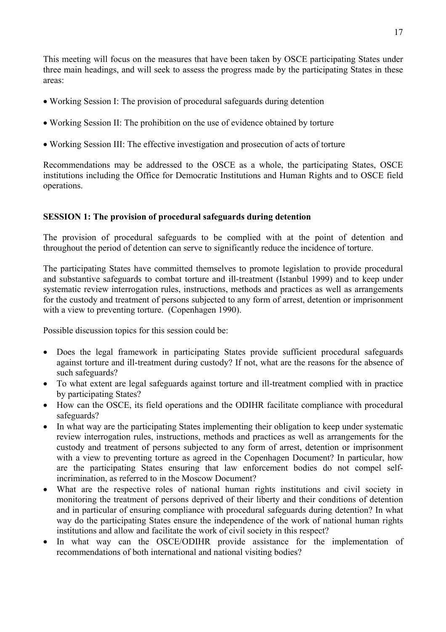This meeting will focus on the measures that have been taken by OSCE participating States under three main headings, and will seek to assess the progress made by the participating States in these areas:

- Working Session I: The provision of procedural safeguards during detention
- Working Session II: The prohibition on the use of evidence obtained by torture
- Working Session III: The effective investigation and prosecution of acts of torture

Recommendations may be addressed to the OSCE as a whole, the participating States, OSCE institutions including the Office for Democratic Institutions and Human Rights and to OSCE field operations.

### **SESSION 1: The provision of procedural safeguards during detention**

The provision of procedural safeguards to be complied with at the point of detention and throughout the period of detention can serve to significantly reduce the incidence of torture.

The participating States have committed themselves to promote legislation to provide procedural and substantive safeguards to combat torture and ill-treatment (Istanbul 1999) and to keep under systematic review interrogation rules, instructions, methods and practices as well as arrangements for the custody and treatment of persons subjected to any form of arrest, detention or imprisonment with a view to preventing torture. (Copenhagen 1990).

Possible discussion topics for this session could be:

- Does the legal framework in participating States provide sufficient procedural safeguards against torture and ill-treatment during custody? If not, what are the reasons for the absence of such safeguards?
- To what extent are legal safeguards against torture and ill-treatment complied with in practice by participating States?
- How can the OSCE, its field operations and the ODIHR facilitate compliance with procedural safeguards?
- In what way are the participating States implementing their obligation to keep under systematic review interrogation rules, instructions, methods and practices as well as arrangements for the custody and treatment of persons subjected to any form of arrest, detention or imprisonment with a view to preventing torture as agreed in the Copenhagen Document? In particular, how are the participating States ensuring that law enforcement bodies do not compel selfincrimination, as referred to in the Moscow Document?
- What are the respective roles of national human rights institutions and civil society in monitoring the treatment of persons deprived of their liberty and their conditions of detention and in particular of ensuring compliance with procedural safeguards during detention? In what way do the participating States ensure the independence of the work of national human rights institutions and allow and facilitate the work of civil society in this respect?
- In what way can the OSCE/ODIHR provide assistance for the implementation of recommendations of both international and national visiting bodies?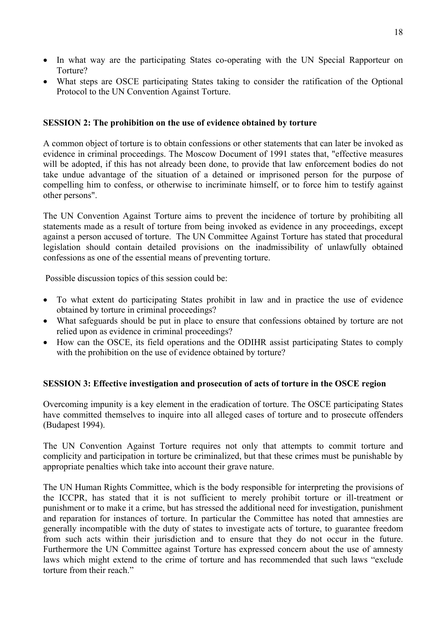- In what way are the participating States co-operating with the UN Special Rapporteur on Torture?
- What steps are OSCE participating States taking to consider the ratification of the Optional Protocol to the UN Convention Against Torture.

#### **SESSION 2: The prohibition on the use of evidence obtained by torture**

A common object of torture is to obtain confessions or other statements that can later be invoked as evidence in criminal proceedings. The Moscow Document of 1991 states that, "effective measures will be adopted, if this has not already been done, to provide that law enforcement bodies do not take undue advantage of the situation of a detained or imprisoned person for the purpose of compelling him to confess, or otherwise to incriminate himself, or to force him to testify against other persons".

The UN Convention Against Torture aims to prevent the incidence of torture by prohibiting all statements made as a result of torture from being invoked as evidence in any proceedings, except against a person accused of torture. The UN Committee Against Torture has stated that procedural legislation should contain detailed provisions on the inadmissibility of unlawfully obtained confessions as one of the essential means of preventing torture.

Possible discussion topics of this session could be:

- To what extent do participating States prohibit in law and in practice the use of evidence obtained by torture in criminal proceedings?
- What safeguards should be put in place to ensure that confessions obtained by torture are not relied upon as evidence in criminal proceedings?
- How can the OSCE, its field operations and the ODIHR assist participating States to comply with the prohibition on the use of evidence obtained by torture?

### **SESSION 3: Effective investigation and prosecution of acts of torture in the OSCE region**

Overcoming impunity is a key element in the eradication of torture. The OSCE participating States have committed themselves to inquire into all alleged cases of torture and to prosecute offenders (Budapest 1994).

The UN Convention Against Torture requires not only that attempts to commit torture and complicity and participation in torture be criminalized, but that these crimes must be punishable by appropriate penalties which take into account their grave nature.

The UN Human Rights Committee, which is the body responsible for interpreting the provisions of the ICCPR, has stated that it is not sufficient to merely prohibit torture or ill-treatment or punishment or to make it a crime, but has stressed the additional need for investigation, punishment and reparation for instances of torture. In particular the Committee has noted that amnesties are generally incompatible with the duty of states to investigate acts of torture, to guarantee freedom from such acts within their jurisdiction and to ensure that they do not occur in the future. Furthermore the UN Committee against Torture has expressed concern about the use of amnesty laws which might extend to the crime of torture and has recommended that such laws "exclude torture from their reach."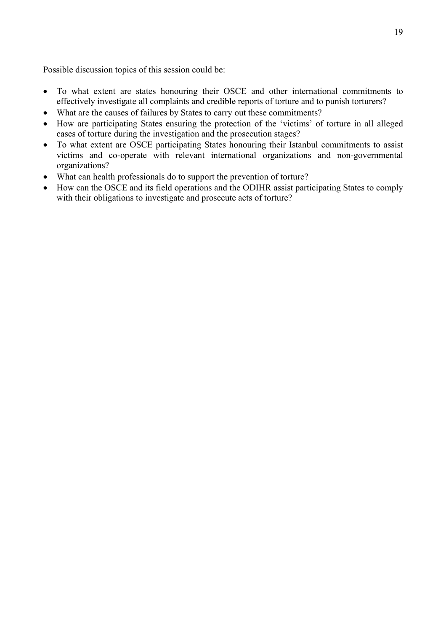Possible discussion topics of this session could be:

- To what extent are states honouring their OSCE and other international commitments to effectively investigate all complaints and credible reports of torture and to punish torturers?
- What are the causes of failures by States to carry out these commitments?
- How are participating States ensuring the protection of the 'victims' of torture in all alleged cases of torture during the investigation and the prosecution stages?
- To what extent are OSCE participating States honouring their Istanbul commitments to assist victims and co-operate with relevant international organizations and non-governmental organizations?
- What can health professionals do to support the prevention of torture?
- How can the OSCE and its field operations and the ODIHR assist participating States to comply with their obligations to investigate and prosecute acts of torture?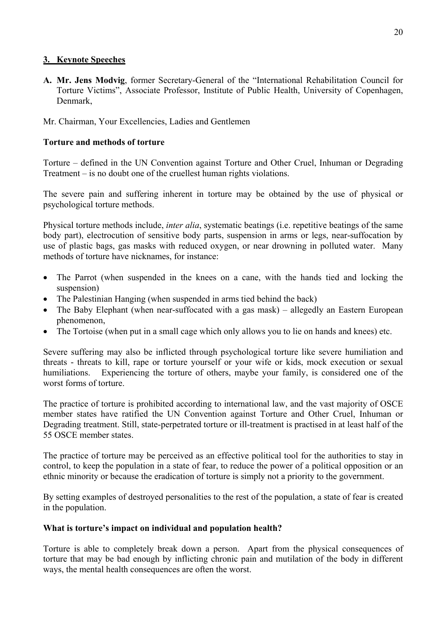### **3. Keynote Speeches**

**A. Mr. Jens Modvig**, former Secretary-General of the "International Rehabilitation Council for Torture Victims", Associate Professor, Institute of Public Health, University of Copenhagen, Denmark,

### Mr. Chairman, Your Excellencies, Ladies and Gentlemen

### **Torture and methods of torture**

Torture – defined in the UN Convention against Torture and Other Cruel, Inhuman or Degrading Treatment – is no doubt one of the cruellest human rights violations.

The severe pain and suffering inherent in torture may be obtained by the use of physical or psychological torture methods.

Physical torture methods include, *inter alia*, systematic beatings (i.e. repetitive beatings of the same body part), electrocution of sensitive body parts, suspension in arms or legs, near-suffocation by use of plastic bags, gas masks with reduced oxygen, or near drowning in polluted water. Many methods of torture have nicknames, for instance:

- The Parrot (when suspended in the knees on a cane, with the hands tied and locking the suspension)
- The Palestinian Hanging (when suspended in arms tied behind the back)
- The Baby Elephant (when near-suffocated with a gas mask) allegedly an Eastern European phenomenon,
- The Tortoise (when put in a small cage which only allows you to lie on hands and knees) etc.

Severe suffering may also be inflicted through psychological torture like severe humiliation and threats - threats to kill, rape or torture yourself or your wife or kids, mock execution or sexual humiliations. Experiencing the torture of others, maybe your family, is considered one of the worst forms of torture.

The practice of torture is prohibited according to international law, and the vast majority of OSCE member states have ratified the UN Convention against Torture and Other Cruel, Inhuman or Degrading treatment. Still, state-perpetrated torture or ill-treatment is practised in at least half of the 55 OSCE member states.

The practice of torture may be perceived as an effective political tool for the authorities to stay in control, to keep the population in a state of fear, to reduce the power of a political opposition or an ethnic minority or because the eradication of torture is simply not a priority to the government.

By setting examples of destroyed personalities to the rest of the population, a state of fear is created in the population.

### **What is torture's impact on individual and population health?**

Torture is able to completely break down a person. Apart from the physical consequences of torture that may be bad enough by inflicting chronic pain and mutilation of the body in different ways, the mental health consequences are often the worst.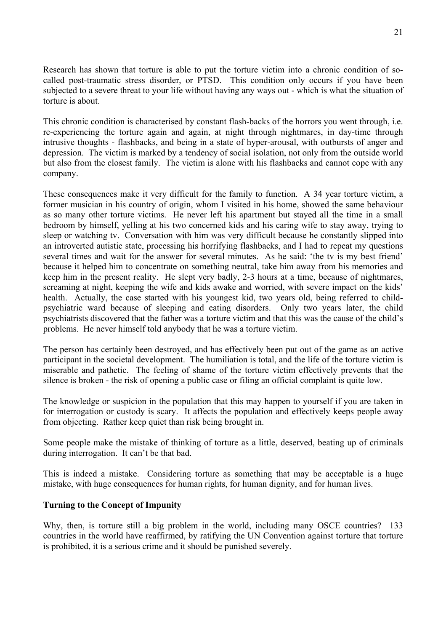Research has shown that torture is able to put the torture victim into a chronic condition of socalled post-traumatic stress disorder, or PTSD. This condition only occurs if you have been subjected to a severe threat to your life without having any ways out - which is what the situation of torture is about.

This chronic condition is characterised by constant flash-backs of the horrors you went through, i.e. re-experiencing the torture again and again, at night through nightmares, in day-time through intrusive thoughts - flashbacks, and being in a state of hyper-arousal, with outbursts of anger and depression. The victim is marked by a tendency of social isolation, not only from the outside world but also from the closest family. The victim is alone with his flashbacks and cannot cope with any company.

These consequences make it very difficult for the family to function. A 34 year torture victim, a former musician in his country of origin, whom I visited in his home, showed the same behaviour as so many other torture victims. He never left his apartment but stayed all the time in a small bedroom by himself, yelling at his two concerned kids and his caring wife to stay away, trying to sleep or watching tv. Conversation with him was very difficult because he constantly slipped into an introverted autistic state, processing his horrifying flashbacks, and I had to repeat my questions several times and wait for the answer for several minutes. As he said: 'the tv is my best friend' because it helped him to concentrate on something neutral, take him away from his memories and keep him in the present reality. He slept very badly, 2-3 hours at a time, because of nightmares, screaming at night, keeping the wife and kids awake and worried, with severe impact on the kids' health. Actually, the case started with his youngest kid, two years old, being referred to childpsychiatric ward because of sleeping and eating disorders. Only two years later, the child psychiatrists discovered that the father was a torture victim and that this was the cause of the child's problems. He never himself told anybody that he was a torture victim.

The person has certainly been destroyed, and has effectively been put out of the game as an active participant in the societal development. The humiliation is total, and the life of the torture victim is miserable and pathetic. The feeling of shame of the torture victim effectively prevents that the silence is broken - the risk of opening a public case or filing an official complaint is quite low.

The knowledge or suspicion in the population that this may happen to yourself if you are taken in for interrogation or custody is scary. It affects the population and effectively keeps people away from objecting. Rather keep quiet than risk being brought in.

Some people make the mistake of thinking of torture as a little, deserved, beating up of criminals during interrogation. It can't be that bad.

This is indeed a mistake. Considering torture as something that may be acceptable is a huge mistake, with huge consequences for human rights, for human dignity, and for human lives.

### **Turning to the Concept of Impunity**

Why, then, is torture still a big problem in the world, including many OSCE countries? 133 countries in the world have reaffirmed, by ratifying the UN Convention against torture that torture is prohibited, it is a serious crime and it should be punished severely.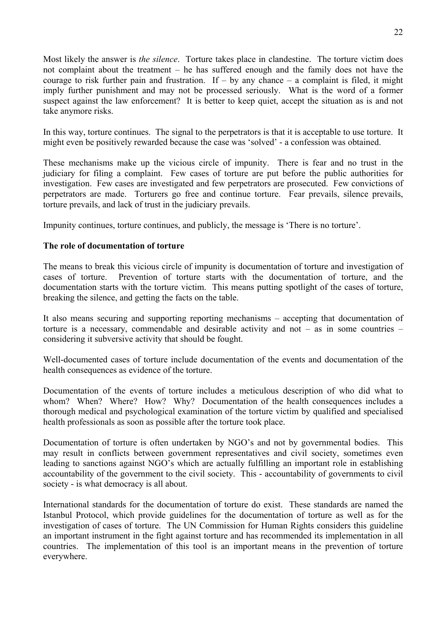Most likely the answer is *the silence*. Torture takes place in clandestine. The torture victim does not complaint about the treatment – he has suffered enough and the family does not have the courage to risk further pain and frustration. If  $-$  by any chance  $-$  a complaint is filed, it might imply further punishment and may not be processed seriously. What is the word of a former suspect against the law enforcement? It is better to keep quiet, accept the situation as is and not take anymore risks.

In this way, torture continues. The signal to the perpetrators is that it is acceptable to use torture. It might even be positively rewarded because the case was 'solved' - a confession was obtained.

These mechanisms make up the vicious circle of impunity. There is fear and no trust in the judiciary for filing a complaint. Few cases of torture are put before the public authorities for investigation. Few cases are investigated and few perpetrators are prosecuted. Few convictions of perpetrators are made. Torturers go free and continue torture. Fear prevails, silence prevails, torture prevails, and lack of trust in the judiciary prevails.

Impunity continues, torture continues, and publicly, the message is 'There is no torture'.

#### **The role of documentation of torture**

The means to break this vicious circle of impunity is documentation of torture and investigation of cases of torture. Prevention of torture starts with the documentation of torture, and the documentation starts with the torture victim. This means putting spotlight of the cases of torture, breaking the silence, and getting the facts on the table.

It also means securing and supporting reporting mechanisms – accepting that documentation of torture is a necessary, commendable and desirable activity and not – as in some countries – considering it subversive activity that should be fought.

Well-documented cases of torture include documentation of the events and documentation of the health consequences as evidence of the torture.

Documentation of the events of torture includes a meticulous description of who did what to whom? When? Where? How? Why? Documentation of the health consequences includes a thorough medical and psychological examination of the torture victim by qualified and specialised health professionals as soon as possible after the torture took place.

Documentation of torture is often undertaken by NGO's and not by governmental bodies. This may result in conflicts between government representatives and civil society, sometimes even leading to sanctions against NGO's which are actually fulfilling an important role in establishing accountability of the government to the civil society. This - accountability of governments to civil society - is what democracy is all about.

International standards for the documentation of torture do exist. These standards are named the Istanbul Protocol, which provide guidelines for the documentation of torture as well as for the investigation of cases of torture. The UN Commission for Human Rights considers this guideline an important instrument in the fight against torture and has recommended its implementation in all countries. The implementation of this tool is an important means in the prevention of torture everywhere.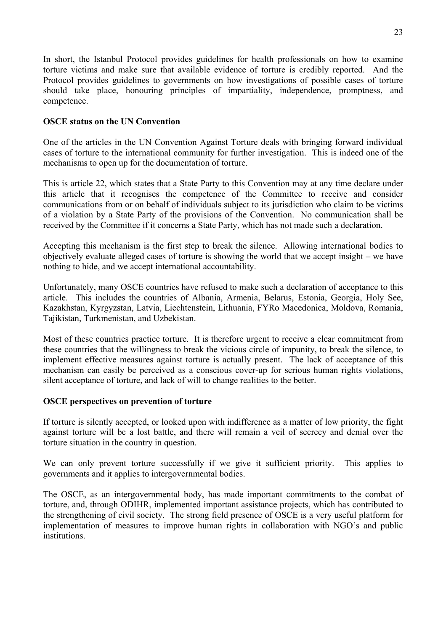In short, the Istanbul Protocol provides guidelines for health professionals on how to examine torture victims and make sure that available evidence of torture is credibly reported. And the Protocol provides guidelines to governments on how investigations of possible cases of torture should take place, honouring principles of impartiality, independence, promptness, and competence.

#### **OSCE status on the UN Convention**

One of the articles in the UN Convention Against Torture deals with bringing forward individual cases of torture to the international community for further investigation. This is indeed one of the mechanisms to open up for the documentation of torture.

This is article 22, which states that a State Party to this Convention may at any time declare under this article that it recognises the competence of the Committee to receive and consider communications from or on behalf of individuals subject to its jurisdiction who claim to be victims of a violation by a State Party of the provisions of the Convention. No communication shall be received by the Committee if it concerns a State Party, which has not made such a declaration.

Accepting this mechanism is the first step to break the silence. Allowing international bodies to objectively evaluate alleged cases of torture is showing the world that we accept insight – we have nothing to hide, and we accept international accountability.

Unfortunately, many OSCE countries have refused to make such a declaration of acceptance to this article. This includes the countries of Albania, Armenia, Belarus, Estonia, Georgia, Holy See, Kazakhstan, Kyrgyzstan, Latvia, Liechtenstein, Lithuania, FYRo Macedonica, Moldova, Romania, Tajikistan, Turkmenistan, and Uzbekistan.

Most of these countries practice torture. It is therefore urgent to receive a clear commitment from these countries that the willingness to break the vicious circle of impunity, to break the silence, to implement effective measures against torture is actually present. The lack of acceptance of this mechanism can easily be perceived as a conscious cover-up for serious human rights violations, silent acceptance of torture, and lack of will to change realities to the better.

### **OSCE perspectives on prevention of torture**

If torture is silently accepted, or looked upon with indifference as a matter of low priority, the fight against torture will be a lost battle, and there will remain a veil of secrecy and denial over the torture situation in the country in question.

We can only prevent torture successfully if we give it sufficient priority. This applies to governments and it applies to intergovernmental bodies.

The OSCE, as an intergovernmental body, has made important commitments to the combat of torture, and, through ODIHR, implemented important assistance projects, which has contributed to the strengthening of civil society. The strong field presence of OSCE is a very useful platform for implementation of measures to improve human rights in collaboration with NGO's and public institutions.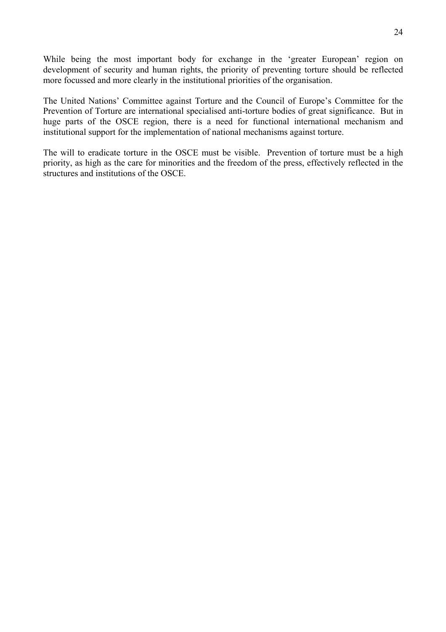While being the most important body for exchange in the 'greater European' region on development of security and human rights, the priority of preventing torture should be reflected more focussed and more clearly in the institutional priorities of the organisation.

The United Nations' Committee against Torture and the Council of Europe's Committee for the Prevention of Torture are international specialised anti-torture bodies of great significance. But in huge parts of the OSCE region, there is a need for functional international mechanism and institutional support for the implementation of national mechanisms against torture.

The will to eradicate torture in the OSCE must be visible. Prevention of torture must be a high priority, as high as the care for minorities and the freedom of the press, effectively reflected in the structures and institutions of the OSCE.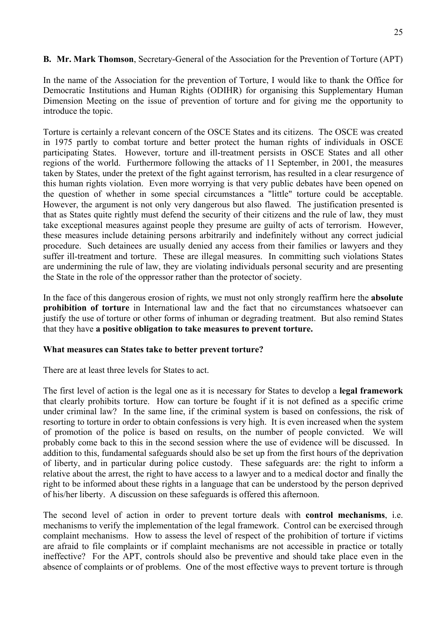### **B. Mr. Mark Thomson**, Secretary-General of the Association for the Prevention of Torture (APT)

In the name of the Association for the prevention of Torture, I would like to thank the Office for Democratic Institutions and Human Rights (ODIHR) for organising this Supplementary Human Dimension Meeting on the issue of prevention of torture and for giving me the opportunity to introduce the topic.

Torture is certainly a relevant concern of the OSCE States and its citizens. The OSCE was created in 1975 partly to combat torture and better protect the human rights of individuals in OSCE participating States. However, torture and ill-treatment persists in OSCE States and all other regions of the world. Furthermore following the attacks of 11 September, in 2001, the measures taken by States, under the pretext of the fight against terrorism, has resulted in a clear resurgence of this human rights violation. Even more worrying is that very public debates have been opened on the question of whether in some special circumstances a "little" torture could be acceptable. However, the argument is not only very dangerous but also flawed. The justification presented is that as States quite rightly must defend the security of their citizens and the rule of law, they must take exceptional measures against people they presume are guilty of acts of terrorism. However, these measures include detaining persons arbitrarily and indefinitely without any correct judicial procedure. Such detainees are usually denied any access from their families or lawyers and they suffer ill-treatment and torture. These are illegal measures. In committing such violations States are undermining the rule of law, they are violating individuals personal security and are presenting the State in the role of the oppressor rather than the protector of society.

In the face of this dangerous erosion of rights, we must not only strongly reaffirm here the **absolute prohibition of torture** in International law and the fact that no circumstances whatsoever can justify the use of torture or other forms of inhuman or degrading treatment. But also remind States that they have **a positive obligation to take measures to prevent torture.**

#### **What measures can States take to better prevent torture?**

There are at least three levels for States to act.

The first level of action is the legal one as it is necessary for States to develop a **legal framework** that clearly prohibits torture. How can torture be fought if it is not defined as a specific crime under criminal law? In the same line, if the criminal system is based on confessions, the risk of resorting to torture in order to obtain confessions is very high. It is even increased when the system of promotion of the police is based on results, on the number of people convicted. We will probably come back to this in the second session where the use of evidence will be discussed. In addition to this, fundamental safeguards should also be set up from the first hours of the deprivation of liberty, and in particular during police custody. These safeguards are: the right to inform a relative about the arrest, the right to have access to a lawyer and to a medical doctor and finally the right to be informed about these rights in a language that can be understood by the person deprived of his/her liberty. A discussion on these safeguards is offered this afternoon.

The second level of action in order to prevent torture deals with **control mechanisms**, i.e. mechanisms to verify the implementation of the legal framework. Control can be exercised through complaint mechanisms. How to assess the level of respect of the prohibition of torture if victims are afraid to file complaints or if complaint mechanisms are not accessible in practice or totally ineffective? For the APT, controls should also be preventive and should take place even in the absence of complaints or of problems. One of the most effective ways to prevent torture is through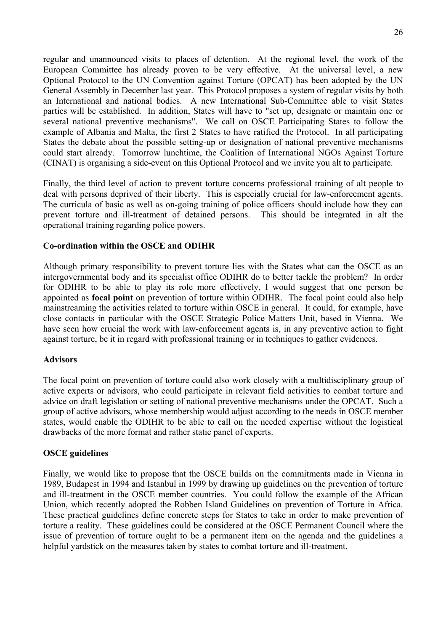regular and unannounced visits to places of detention. At the regional level, the work of the European Committee has already proven to be very effective. At the universal level, a new Optional Protocol to the UN Convention against Torture (OPCAT) has been adopted by the UN General Assembly in December last year. This Protocol proposes a system of regular visits by both an International and national bodies. A new International Sub-Committee able to visit States parties will be established. In addition, States will have to "set up, designate or maintain one or several national preventive mechanisms". We call on OSCE Participating States to follow the example of Albania and Malta, the first 2 States to have ratified the Protocol. In all participating States the debate about the possible setting-up or designation of national preventive mechanisms could start already. Tomorrow lunchtime, the Coalition of International NGOs Against Torture (CINAT) is organising a side-event on this Optional Protocol and we invite you alt to participate.

Finally, the third level of action to prevent torture concerns professional training of alt people to deal with persons deprived of their liberty. This is especially crucial for law-enforcement agents. The curricula of basic as well as on-going training of police officers should include how they can prevent torture and ill-treatment of detained persons. This should be integrated in alt the operational training regarding police powers.

#### **Co-ordination within the OSCE and ODIHR**

Although primary responsibility to prevent torture lies with the States what can the OSCE as an intergovernmental body and its specialist office ODIHR do to better tackle the problem? In order for ODIHR to be able to play its role more effectively, I would suggest that one person be appointed as **focal point** on prevention of torture within ODIHR. The focal point could also help mainstreaming the activities related to torture within OSCE in general. It could, for example, have close contacts in particular with the OSCE Strategic Police Matters Unit, based in Vienna. We have seen how crucial the work with law-enforcement agents is, in any preventive action to fight against torture, be it in regard with professional training or in techniques to gather evidences.

#### **Advisors**

The focal point on prevention of torture could also work closely with a multidisciplinary group of active experts or advisors, who could participate in relevant field activities to combat torture and advice on draft legislation or setting of national preventive mechanisms under the OPCAT. Such a group of active advisors, whose membership would adjust according to the needs in OSCE member states, would enable the ODIHR to be able to call on the needed expertise without the logistical drawbacks of the more format and rather static panel of experts.

#### **OSCE guidelines**

Finally, we would like to propose that the OSCE builds on the commitments made in Vienna in 1989, Budapest in 1994 and Istanbul in 1999 by drawing up guidelines on the prevention of torture and ill-treatment in the OSCE member countries. You could follow the example of the African Union, which recently adopted the Robben Island Guidelines on prevention of Torture in Africa. These practical guidelines define concrete steps for States to take in order to make prevention of torture a reality. These guidelines could be considered at the OSCE Permanent Council where the issue of prevention of torture ought to be a permanent item on the agenda and the guidelines a helpful yardstick on the measures taken by states to combat torture and ill-treatment.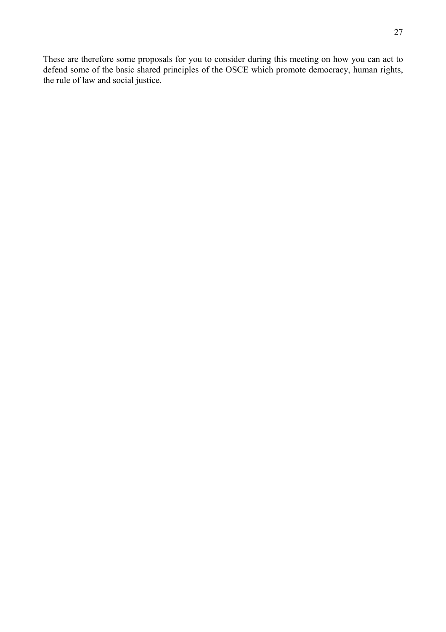These are therefore some proposals for you to consider during this meeting on how you can act to defend some of the basic shared principles of the OSCE which promote democracy, human rights, the rule of law and social justice.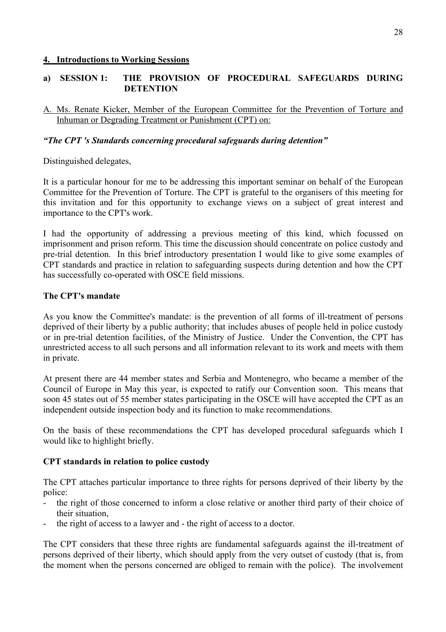#### **4. Introductions to Working Sessions**

### **a) SESSION 1: THE PROVISION OF PROCEDURAL SAFEGUARDS DURING DETENTION**

A. Ms. Renate Kicker, Member of the European Committee for the Prevention of Torture and Inhuman or Degrading Treatment or Punishment (CPT) on:

### *"The CPT 's Standards concerning procedural safeguards during detention"*

Distinguished delegates,

It is a particular honour for me to be addressing this important seminar on behalf of the European Committee for the Prevention of Torture. The CPT is grateful to the organisers of this meeting for this invitation and for this opportunity to exchange views on a subject of great interest and importance to the CPT's work.

I had the opportunity of addressing a previous meeting of this kind, which focussed on imprisonment and prison reform. This time the discussion should concentrate on police custody and pre-trial detention. In this brief introductory presentation I would like to give some examples of CPT standards and practice in relation to safeguarding suspects during detention and how the CPT has successfully co-operated with OSCE field missions.

#### **The CPT's mandate**

As you know the Committee's mandate: is the prevention of all forms of ill-treatment of persons deprived of their liberty by a public authority; that includes abuses of people held in police custody or in pre-trial detention facilities, of the Ministry of Justice. Under the Convention, the CPT has unrestricted access to all such persons and all information relevant to its work and meets with them in private.

At present there are 44 member states and Serbia and Montenegro, who became a member of the Council of Europe in May this year, is expected to ratify our Convention soon. This means that soon 45 states out of 55 member states participating in the OSCE will have accepted the CPT as an independent outside inspection body and its function to make recommendations.

On the basis of these recommendations the CPT has developed procedural safeguards which I would like to highlight briefly.

#### **CPT standards in relation to police custody**

The CPT attaches particular importance to three rights for persons deprived of their liberty by the police:

- the right of those concerned to inform a close relative or another third party of their choice of their situation,
- the right of access to a lawyer and the right of access to a doctor.

The CPT considers that these three rights are fundamental safeguards against the ill-treatment of persons deprived of their liberty, which should apply from the very outset of custody (that is, from the moment when the persons concerned are obliged to remain with the police). The involvement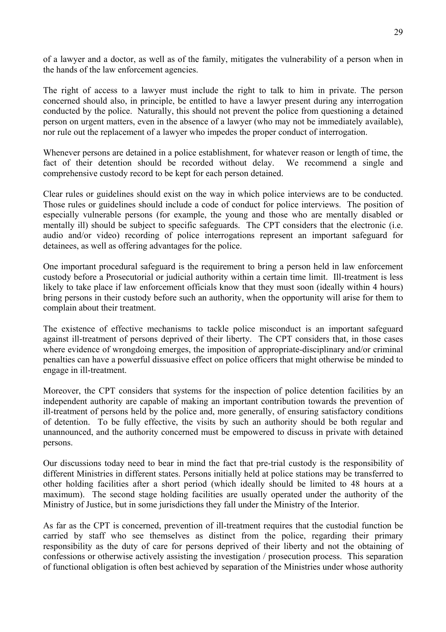of a lawyer and a doctor, as well as of the family, mitigates the vulnerability of a person when in the hands of the law enforcement agencies.

The right of access to a lawyer must include the right to talk to him in private. The person concerned should also, in principle, be entitled to have a lawyer present during any interrogation conducted by the police. Naturally, this should not prevent the police from questioning a detained person on urgent matters, even in the absence of a lawyer (who may not be immediately available), nor rule out the replacement of a lawyer who impedes the proper conduct of interrogation.

Whenever persons are detained in a police establishment, for whatever reason or length of time, the fact of their detention should be recorded without delay. We recommend a single and comprehensive custody record to be kept for each person detained.

Clear rules or guidelines should exist on the way in which police interviews are to be conducted. Those rules or guidelines should include a code of conduct for police interviews. The position of especially vulnerable persons (for example, the young and those who are mentally disabled or mentally ill) should be subject to specific safeguards. The CPT considers that the electronic (i.e. audio and/or video) recording of police interrogations represent an important safeguard for detainees, as well as offering advantages for the police.

One important procedural safeguard is the requirement to bring a person held in law enforcement custody before a Prosecutorial or judicial authority within a certain time limit. Ill-treatment is less likely to take place if law enforcement officials know that they must soon (ideally within 4 hours) bring persons in their custody before such an authority, when the opportunity will arise for them to complain about their treatment.

The existence of effective mechanisms to tackle police misconduct is an important safeguard against ill-treatment of persons deprived of their liberty. The CPT considers that, in those cases where evidence of wrongdoing emerges, the imposition of appropriate-disciplinary and/or criminal penalties can have a powerful dissuasive effect on police officers that might otherwise be minded to engage in ill-treatment.

Moreover, the CPT considers that systems for the inspection of police detention facilities by an independent authority are capable of making an important contribution towards the prevention of ill-treatment of persons held by the police and, more generally, of ensuring satisfactory conditions of detention. To be fully effective, the visits by such an authority should be both regular and unannounced, and the authority concerned must be empowered to discuss in private with detained persons.

Our discussions today need to bear in mind the fact that pre-trial custody is the responsibility of different Ministries in different states. Persons initially held at police stations may be transferred to other holding facilities after a short period (which ideally should be limited to 48 hours at a maximum). The second stage holding facilities are usually operated under the authority of the Ministry of Justice, but in some jurisdictions they fall under the Ministry of the Interior.

As far as the CPT is concerned, prevention of ill-treatment requires that the custodial function be carried by staff who see themselves as distinct from the police, regarding their primary responsibility as the duty of care for persons deprived of their liberty and not the obtaining of confessions or otherwise actively assisting the investigation / prosecution process. This separation of functional obligation is often best achieved by separation of the Ministries under whose authority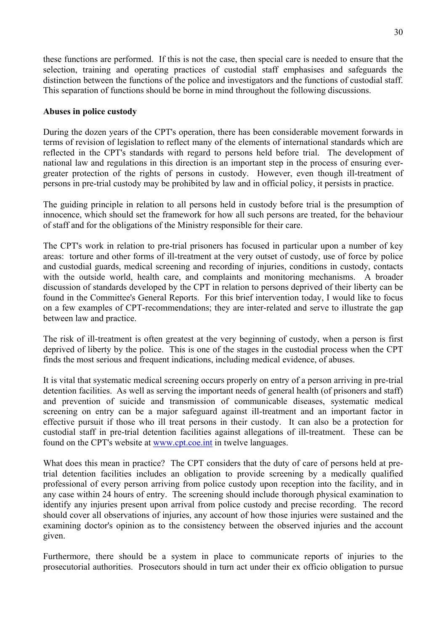these functions are performed. If this is not the case, then special care is needed to ensure that the selection, training and operating practices of custodial staff emphasises and safeguards the distinction between the functions of the police and investigators and the functions of custodial staff. This separation of functions should be borne in mind throughout the following discussions.

#### **Abuses in police custody**

During the dozen years of the CPT's operation, there has been considerable movement forwards in terms of revision of legislation to reflect many of the elements of international standards which are reflected in the CPT's standards with regard to persons held before trial. The development of national law and regulations in this direction is an important step in the process of ensuring evergreater protection of the rights of persons in custody. However, even though ill-treatment of persons in pre-trial custody may be prohibited by law and in official policy, it persists in practice.

The guiding principle in relation to all persons held in custody before trial is the presumption of innocence, which should set the framework for how all such persons are treated, for the behaviour of staff and for the obligations of the Ministry responsible for their care.

The CPT's work in relation to pre-trial prisoners has focused in particular upon a number of key areas: torture and other forms of ill-treatment at the very outset of custody, use of force by police and custodial guards, medical screening and recording of injuries, conditions in custody, contacts with the outside world, health care, and complaints and monitoring mechanisms. A broader discussion of standards developed by the CPT in relation to persons deprived of their liberty can be found in the Committee's General Reports. For this brief intervention today, I would like to focus on a few examples of CPT-recommendations; they are inter-related and serve to illustrate the gap between law and practice.

The risk of ill-treatment is often greatest at the very beginning of custody, when a person is first deprived of liberty by the police. This is one of the stages in the custodial process when the CPT finds the most serious and frequent indications, including medical evidence, of abuses.

It is vital that systematic medical screening occurs properly on entry of a person arriving in pre-trial detention facilities. As well as serving the important needs of general health (of prisoners and staff) and prevention of suicide and transmission of communicable diseases, systematic medical screening on entry can be a major safeguard against ill-treatment and an important factor in effective pursuit if those who ill treat persons in their custody. It can also be a protection for custodial staff in pre-trial detention facilities against allegations of ill-treatment. These can be found on the CPT's website at [www.cpt.coe.int](http://www.cpt.coe.int/) in twelve languages.

What does this mean in practice? The CPT considers that the duty of care of persons held at pretrial detention facilities includes an obligation to provide screening by a medically qualified professional of every person arriving from police custody upon reception into the facility, and in any case within 24 hours of entry. The screening should include thorough physical examination to identify any injuries present upon arrival from police custody and precise recording. The record should cover all observations of injuries, any account of how those injuries were sustained and the examining doctor's opinion as to the consistency between the observed injuries and the account given.

Furthermore, there should be a system in place to communicate reports of injuries to the prosecutorial authorities. Prosecutors should in turn act under their ex officio obligation to pursue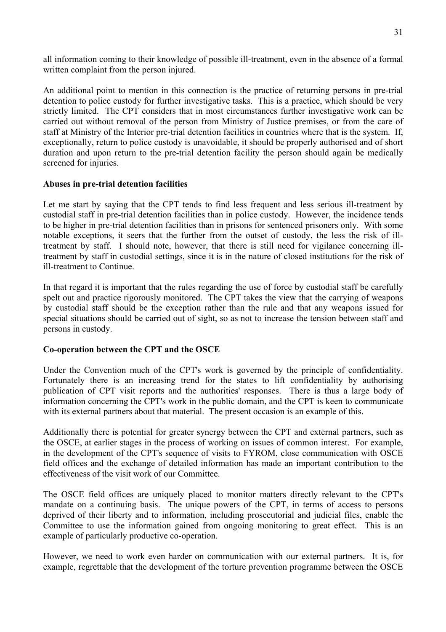all information coming to their knowledge of possible ill-treatment, even in the absence of a formal written complaint from the person injured.

An additional point to mention in this connection is the practice of returning persons in pre-trial detention to police custody for further investigative tasks. This is a practice, which should be very strictly limited. The CPT considers that in most circumstances further investigative work can be carried out without removal of the person from Ministry of Justice premises, or from the care of staff at Ministry of the Interior pre-trial detention facilities in countries where that is the system. If, exceptionally, return to police custody is unavoidable, it should be properly authorised and of short duration and upon return to the pre-trial detention facility the person should again be medically screened for injuries.

#### **Abuses in pre-trial detention facilities**

Let me start by saying that the CPT tends to find less frequent and less serious ill-treatment by custodial staff in pre-trial detention facilities than in police custody. However, the incidence tends to be higher in pre-trial detention facilities than in prisons for sentenced prisoners only. With some notable exceptions, it seers that the further from the outset of custody, the less the risk of illtreatment by staff. I should note, however, that there is still need for vigilance concerning illtreatment by staff in custodial settings, since it is in the nature of closed institutions for the risk of ill-treatment to Continue.

In that regard it is important that the rules regarding the use of force by custodial staff be carefully spelt out and practice rigorously monitored. The CPT takes the view that the carrying of weapons by custodial staff should be the exception rather than the rule and that any weapons issued for special situations should be carried out of sight, so as not to increase the tension between staff and persons in custody.

#### **Co-operation between the CPT and the OSCE**

Under the Convention much of the CPT's work is governed by the principle of confidentiality. Fortunately there is an increasing trend for the states to lift confidentiality by authorising publication of CPT visit reports and the authorities' responses. There is thus a large body of information concerning the CPT's work in the public domain, and the CPT is keen to communicate with its external partners about that material. The present occasion is an example of this.

Additionally there is potential for greater synergy between the CPT and external partners, such as the OSCE, at earlier stages in the process of working on issues of common interest. For example, in the development of the CPT's sequence of visits to FYROM, close communication with OSCE field offices and the exchange of detailed information has made an important contribution to the effectiveness of the visit work of our Committee.

The OSCE field offices are uniquely placed to monitor matters directly relevant to the CPT's mandate on a continuing basis. The unique powers of the CPT, in terms of access to persons deprived of their liberty and to information, including prosecutorial and judicial files, enable the Committee to use the information gained from ongoing monitoring to great effect. This is an example of particularly productive co-operation.

However, we need to work even harder on communication with our external partners. It is, for example, regrettable that the development of the torture prevention programme between the OSCE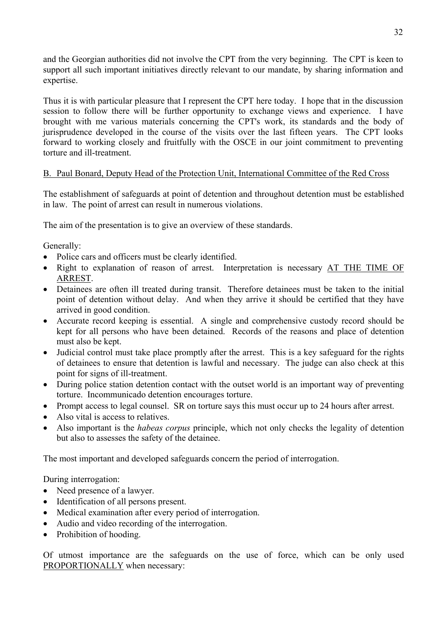and the Georgian authorities did not involve the CPT from the very beginning. The CPT is keen to support all such important initiatives directly relevant to our mandate, by sharing information and expertise.

Thus it is with particular pleasure that I represent the CPT here today. I hope that in the discussion session to follow there will be further opportunity to exchange views and experience. I have brought with me various materials concerning the CPT's work, its standards and the body of jurisprudence developed in the course of the visits over the last fifteen years. The CPT looks forward to working closely and fruitfully with the OSCE in our joint commitment to preventing torture and ill-treatment.

## B. Paul Bonard, Deputy Head of the Protection Unit, International Committee of the Red Cross

The establishment of safeguards at point of detention and throughout detention must be established in law. The point of arrest can result in numerous violations.

The aim of the presentation is to give an overview of these standards.

Generally:

- Police cars and officers must be clearly identified.
- Right to explanation of reason of arrest. Interpretation is necessary AT THE TIME OF ARREST.
- Detainees are often ill treated during transit. Therefore detainees must be taken to the initial point of detention without delay. And when they arrive it should be certified that they have arrived in good condition.
- Accurate record keeping is essential. A single and comprehensive custody record should be kept for all persons who have been detained. Records of the reasons and place of detention must also be kept.
- Judicial control must take place promptly after the arrest. This is a key safeguard for the rights of detainees to ensure that detention is lawful and necessary. The judge can also check at this point for signs of ill-treatment.
- During police station detention contact with the outset world is an important way of preventing torture. Incommunicado detention encourages torture.
- Prompt access to legal counsel. SR on torture says this must occur up to 24 hours after arrest.
- Also vital is access to relatives.
- Also important is the *habeas corpus* principle, which not only checks the legality of detention but also to assesses the safety of the detainee.

The most important and developed safeguards concern the period of interrogation.

During interrogation:

- Need presence of a lawyer.
- Identification of all persons present.
- Medical examination after every period of interrogation.
- Audio and video recording of the interrogation.
- Prohibition of hooding.

Of utmost importance are the safeguards on the use of force, which can be only used PROPORTIONALLY when necessary: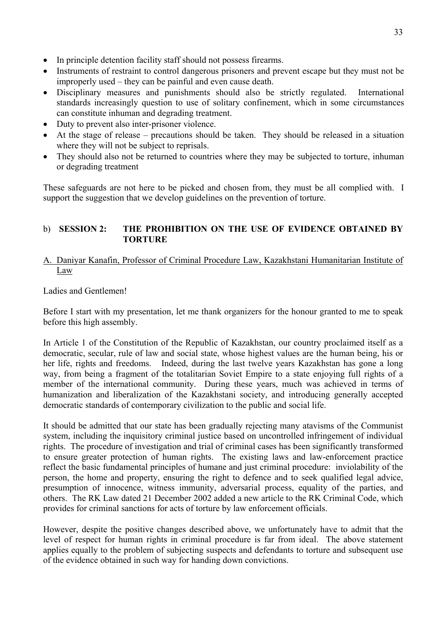- In principle detention facility staff should not possess firearms.
- Instruments of restraint to control dangerous prisoners and prevent escape but they must not be improperly used – they can be painful and even cause death.
- Disciplinary measures and punishments should also be strictly regulated. International standards increasingly question to use of solitary confinement, which in some circumstances can constitute inhuman and degrading treatment.
- Duty to prevent also inter-prisoner violence.
- At the stage of release precautions should be taken. They should be released in a situation where they will not be subject to reprisals.
- They should also not be returned to countries where they may be subjected to torture, inhuman or degrading treatment

These safeguards are not here to be picked and chosen from, they must be all complied with. I support the suggestion that we develop guidelines on the prevention of torture.

## b) **SESSION 2: THE PROHIBITION ON THE USE OF EVIDENCE OBTAINED BY TORTURE**

### A. Daniyar Kanafin, Professor of Criminal Procedure Law, Kazakhstani Humanitarian Institute of Law

Ladies and Gentlemen!

Before I start with my presentation, let me thank organizers for the honour granted to me to speak before this high assembly.

In Article 1 of the Constitution of the Republic of Kazakhstan, our country proclaimed itself as a democratic, secular, rule of law and social state, whose highest values are the human being, his or her life, rights and freedoms. Indeed, during the last twelve years Kazakhstan has gone a long way, from being a fragment of the totalitarian Soviet Empire to a state enjoying full rights of a member of the international community. During these years, much was achieved in terms of humanization and liberalization of the Kazakhstani society, and introducing generally accepted democratic standards of contemporary civilization to the public and social life.

It should be admitted that our state has been gradually rejecting many atavisms of the Communist system, including the inquisitory criminal justice based on uncontrolled infringement of individual rights. The procedure of investigation and trial of criminal cases has been significantly transformed to ensure greater protection of human rights. The existing laws and law-enforcement practice reflect the basic fundamental principles of humane and just criminal procedure: inviolability of the person, the home and property, ensuring the right to defence and to seek qualified legal advice, presumption of innocence, witness immunity, adversarial process, equality of the parties, and others. The RK Law dated 21 December 2002 added a new article to the RK Criminal Code, which provides for criminal sanctions for acts of torture by law enforcement officials.

However, despite the positive changes described above, we unfortunately have to admit that the level of respect for human rights in criminal procedure is far from ideal. The above statement applies equally to the problem of subjecting suspects and defendants to torture and subsequent use of the evidence obtained in such way for handing down convictions.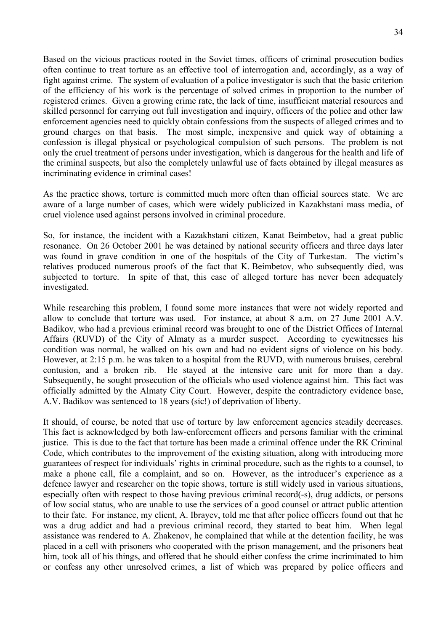Based on the vicious practices rooted in the Soviet times, officers of criminal prosecution bodies often continue to treat torture as an effective tool of interrogation and, accordingly, as a way of fight against crime. The system of evaluation of a police investigator is such that the basic criterion of the efficiency of his work is the percentage of solved crimes in proportion to the number of registered crimes. Given a growing crime rate, the lack of time, insufficient material resources and skilled personnel for carrying out full investigation and inquiry, officers of the police and other law enforcement agencies need to quickly obtain confessions from the suspects of alleged crimes and to ground charges on that basis. The most simple, inexpensive and quick way of obtaining a confession is illegal physical or psychological compulsion of such persons. The problem is not only the cruel treatment of persons under investigation, which is dangerous for the health and life of the criminal suspects, but also the completely unlawful use of facts obtained by illegal measures as incriminating evidence in criminal cases!

As the practice shows, torture is committed much more often than official sources state. We are aware of a large number of cases, which were widely publicized in Kazakhstani mass media, of cruel violence used against persons involved in criminal procedure.

So, for instance, the incident with a Kazakhstani citizen, Kanat Beimbetov, had a great public resonance. On 26 October 2001 he was detained by national security officers and three days later was found in grave condition in one of the hospitals of the City of Turkestan. The victim's relatives produced numerous proofs of the fact that K. Beimbetov, who subsequently died, was subjected to torture. In spite of that, this case of alleged torture has never been adequately investigated.

While researching this problem, I found some more instances that were not widely reported and allow to conclude that torture was used. For instance, at about 8 a.m. on 27 June 2001 A.V. Badikov, who had a previous criminal record was brought to one of the District Offices of Internal Affairs (RUVD) of the City of Almaty as a murder suspect. According to eyewitnesses his condition was normal, he walked on his own and had no evident signs of violence on his body. However, at 2:15 p.m. he was taken to a hospital from the RUVD, with numerous bruises, cerebral contusion, and a broken rib. He stayed at the intensive care unit for more than a day. Subsequently, he sought prosecution of the officials who used violence against him. This fact was officially admitted by the Almaty City Court. However, despite the contradictory evidence base, A.V. Badikov was sentenced to 18 years (sic!) of deprivation of liberty.

It should, of course, be noted that use of torture by law enforcement agencies steadily decreases. This fact is acknowledged by both law-enforcement officers and persons familiar with the criminal justice. This is due to the fact that torture has been made a criminal offence under the RK Criminal Code, which contributes to the improvement of the existing situation, along with introducing more guarantees of respect for individuals' rights in criminal procedure, such as the rights to a counsel, to make a phone call, file a complaint, and so on. However, as the introducer's experience as a defence lawyer and researcher on the topic shows, torture is still widely used in various situations, especially often with respect to those having previous criminal record(-s), drug addicts, or persons of low social status, who are unable to use the services of a good counsel or attract public attention to their fate. For instance, my client, A. Ibrayev, told me that after police officers found out that he was a drug addict and had a previous criminal record, they started to beat him. When legal assistance was rendered to A. Zhakenov, he complained that while at the detention facility, he was placed in a cell with prisoners who cooperated with the prison management, and the prisoners beat him, took all of his things, and offered that he should either confess the crime incriminated to him or confess any other unresolved crimes, a list of which was prepared by police officers and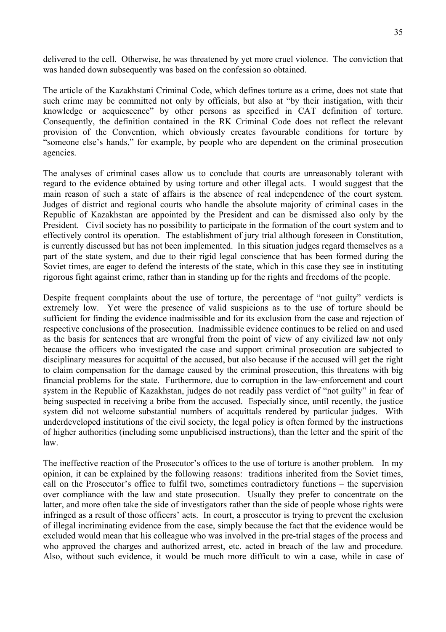delivered to the cell. Otherwise, he was threatened by yet more cruel violence. The conviction that was handed down subsequently was based on the confession so obtained.

The article of the Kazakhstani Criminal Code, which defines torture as a crime, does not state that such crime may be committed not only by officials, but also at "by their instigation, with their knowledge or acquiescence" by other persons as specified in CAT definition of torture. Consequently, the definition contained in the RK Criminal Code does not reflect the relevant provision of the Convention, which obviously creates favourable conditions for torture by "someone else's hands," for example, by people who are dependent on the criminal prosecution agencies.

The analyses of criminal cases allow us to conclude that courts are unreasonably tolerant with regard to the evidence obtained by using torture and other illegal acts. I would suggest that the main reason of such a state of affairs is the absence of real independence of the court system. Judges of district and regional courts who handle the absolute majority of criminal cases in the Republic of Kazakhstan are appointed by the President and can be dismissed also only by the President. Civil society has no possibility to participate in the formation of the court system and to effectively control its operation. The establishment of jury trial although foreseen in Constitution, is currently discussed but has not been implemented. In this situation judges regard themselves as a part of the state system, and due to their rigid legal conscience that has been formed during the Soviet times, are eager to defend the interests of the state, which in this case they see in instituting rigorous fight against crime, rather than in standing up for the rights and freedoms of the people.

Despite frequent complaints about the use of torture, the percentage of "not guilty" verdicts is extremely low. Yet were the presence of valid suspicions as to the use of torture should be sufficient for finding the evidence inadmissible and for its exclusion from the case and rejection of respective conclusions of the prosecution. Inadmissible evidence continues to be relied on and used as the basis for sentences that are wrongful from the point of view of any civilized law not only because the officers who investigated the case and support criminal prosecution are subjected to disciplinary measures for acquittal of the accused, but also because if the accused will get the right to claim compensation for the damage caused by the criminal prosecution, this threatens with big financial problems for the state. Furthermore, due to corruption in the law-enforcement and court system in the Republic of Kazakhstan, judges do not readily pass verdict of "not guilty" in fear of being suspected in receiving a bribe from the accused. Especially since, until recently, the justice system did not welcome substantial numbers of acquittals rendered by particular judges. With underdeveloped institutions of the civil society, the legal policy is often formed by the instructions of higher authorities (including some unpublicised instructions), than the letter and the spirit of the law.

The ineffective reaction of the Prosecutor's offices to the use of torture is another problem. In my opinion, it can be explained by the following reasons: traditions inherited from the Soviet times, call on the Prosecutor's office to fulfil two, sometimes contradictory functions – the supervision over compliance with the law and state prosecution. Usually they prefer to concentrate on the latter, and more often take the side of investigators rather than the side of people whose rights were infringed as a result of those officers' acts. In court, a prosecutor is trying to prevent the exclusion of illegal incriminating evidence from the case, simply because the fact that the evidence would be excluded would mean that his colleague who was involved in the pre-trial stages of the process and who approved the charges and authorized arrest, etc. acted in breach of the law and procedure. Also, without such evidence, it would be much more difficult to win a case, while in case of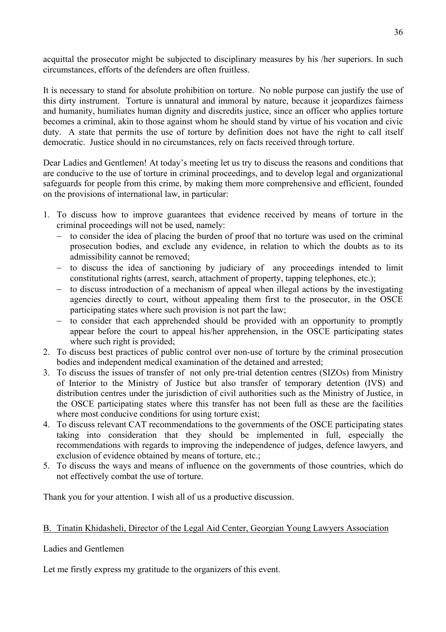acquittal the prosecutor might be subjected to disciplinary measures by his /her superiors. In such circumstances, efforts of the defenders are often fruitless.

It is necessary to stand for absolute prohibition on torture. No noble purpose can justify the use of this dirty instrument. Torture is unnatural and immoral by nature, because it jeopardizes fairness and humanity, humiliates human dignity and discredits justice, since an officer who applies torture becomes a criminal, akin to those against whom he should stand by virtue of his vocation and civic duty. A state that permits the use of torture by definition does not have the right to call itself democratic. Justice should in no circumstances, rely on facts received through torture.

Dear Ladies and Gentlemen! At today's meeting let us try to discuss the reasons and conditions that are conducive to the use of torture in criminal proceedings, and to develop legal and organizational safeguards for people from this crime, by making them more comprehensive and efficient, founded on the provisions of international law, in particular:

- 1. To discuss how to improve guarantees that evidence received by means of torture in the criminal proceedings will not be used, namely:
	- to consider the idea of placing the burden of proof that no torture was used on the criminal prosecution bodies, and exclude any evidence, in relation to which the doubts as to its admissibility cannot be removed;
	- − to discuss the idea of sanctioning by judiciary of any proceedings intended to limit constitutional rights (arrest, search, attachment of property, tapping telephones, etc.);
	- − to discuss introduction of a mechanism of appeal when illegal actions by the investigating agencies directly to court, without appealing them first to the prosecutor, in the OSCE participating states where such provision is not part the law;
	- − to consider that each apprehended should be provided with an opportunity to promptly appear before the court to appeal his/her apprehension, in the OSCE participating states where such right is provided:
- 2. To discuss best practices of public control over non-use of torture by the criminal prosecution bodies and independent medical examination of the detained and arrested;
- 3. To discuss the issues of transfer of not only pre-trial detention centres (SIZOs) from Ministry of Interior to the Ministry of Justice but also transfer of temporary detention (IVS) and distribution centres under the jurisdiction of civil authorities such as the Ministry of Justice, in the OSCE participating states where this transfer has not been full as these are the facilities where most conducive conditions for using torture exist;
- 4. To discuss relevant CAT recommendations to the governments of the OSCE participating states taking into consideration that they should be implemented in full, especially the recommendations with regards to improving the independence of judges, defence lawyers, and exclusion of evidence obtained by means of torture, etc.;
- 5. To discuss the ways and means of influence on the governments of those countries, which do not effectively combat the use of torture.

Thank you for your attention. I wish all of us a productive discussion.

### B. Tinatin Khidasheli, Director of the Legal Aid Center, Georgian Young Lawyers Association

### Ladies and Gentlemen

Let me firstly express my gratitude to the organizers of this event.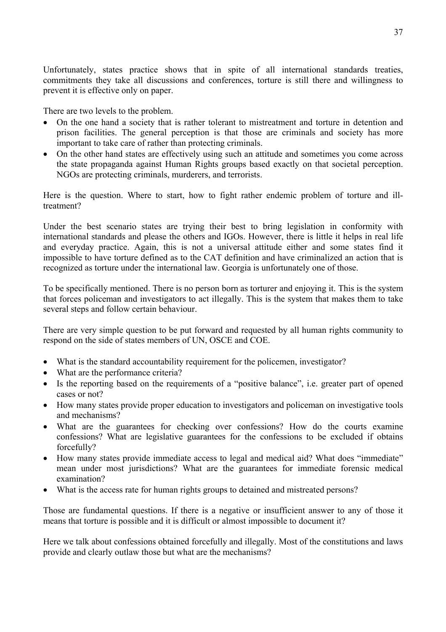Unfortunately, states practice shows that in spite of all international standards treaties, commitments they take all discussions and conferences, torture is still there and willingness to prevent it is effective only on paper.

There are two levels to the problem.

- On the one hand a society that is rather tolerant to mistreatment and torture in detention and prison facilities. The general perception is that those are criminals and society has more important to take care of rather than protecting criminals.
- On the other hand states are effectively using such an attitude and sometimes you come across the state propaganda against Human Rights groups based exactly on that societal perception. NGOs are protecting criminals, murderers, and terrorists.

Here is the question. Where to start, how to fight rather endemic problem of torture and illtreatment?

Under the best scenario states are trying their best to bring legislation in conformity with international standards and please the others and IGOs. However, there is little it helps in real life and everyday practice. Again, this is not a universal attitude either and some states find it impossible to have torture defined as to the CAT definition and have criminalized an action that is recognized as torture under the international law. Georgia is unfortunately one of those.

To be specifically mentioned. There is no person born as torturer and enjoying it. This is the system that forces policeman and investigators to act illegally. This is the system that makes them to take several steps and follow certain behaviour.

There are very simple question to be put forward and requested by all human rights community to respond on the side of states members of UN, OSCE and COE.

- What is the standard accountability requirement for the policemen, investigator?
- What are the performance criteria?
- Is the reporting based on the requirements of a "positive balance", i.e. greater part of opened cases or not?
- How many states provide proper education to investigators and policeman on investigative tools and mechanisms?
- What are the guarantees for checking over confessions? How do the courts examine confessions? What are legislative guarantees for the confessions to be excluded if obtains forcefully?
- How many states provide immediate access to legal and medical aid? What does "immediate" mean under most jurisdictions? What are the guarantees for immediate forensic medical examination?
- What is the access rate for human rights groups to detained and mistreated persons?

Those are fundamental questions. If there is a negative or insufficient answer to any of those it means that torture is possible and it is difficult or almost impossible to document it?

Here we talk about confessions obtained forcefully and illegally. Most of the constitutions and laws provide and clearly outlaw those but what are the mechanisms?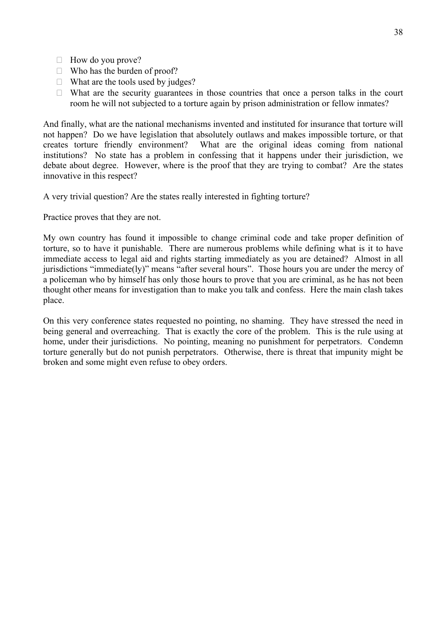- $\Box$  How do you prove?
- $\Box$  Who has the burden of proof?
- $\Box$  What are the tools used by judges?
- $\Box$  What are the security guarantees in those countries that once a person talks in the court room he will not subjected to a torture again by prison administration or fellow inmates?

And finally, what are the national mechanisms invented and instituted for insurance that torture will not happen? Do we have legislation that absolutely outlaws and makes impossible torture, or that creates torture friendly environment? What are the original ideas coming from national institutions? No state has a problem in confessing that it happens under their jurisdiction, we debate about degree. However, where is the proof that they are trying to combat? Are the states innovative in this respect?

A very trivial question? Are the states really interested in fighting torture?

Practice proves that they are not.

My own country has found it impossible to change criminal code and take proper definition of torture, so to have it punishable. There are numerous problems while defining what is it to have immediate access to legal aid and rights starting immediately as you are detained? Almost in all jurisdictions "immediate(ly)" means "after several hours". Those hours you are under the mercy of a policeman who by himself has only those hours to prove that you are criminal, as he has not been thought other means for investigation than to make you talk and confess. Here the main clash takes place.

On this very conference states requested no pointing, no shaming. They have stressed the need in being general and overreaching. That is exactly the core of the problem. This is the rule using at home, under their jurisdictions. No pointing, meaning no punishment for perpetrators. Condemn torture generally but do not punish perpetrators. Otherwise, there is threat that impunity might be broken and some might even refuse to obey orders.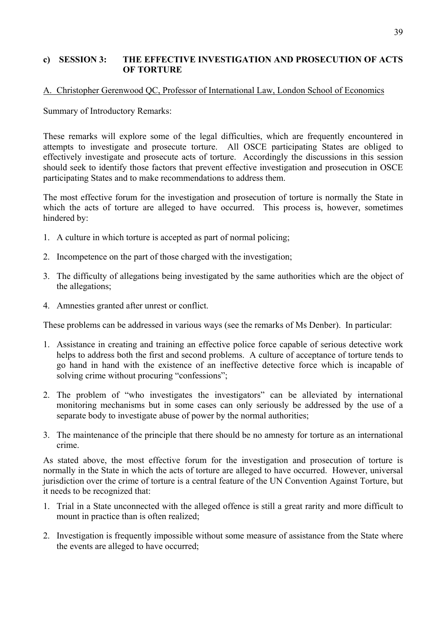#### **c) SESSION 3: THE EFFECTIVE INVESTIGATION AND PROSECUTION OF ACTS OF TORTURE**

#### A. Christopher Gerenwood QC, Professor of International Law, London School of Economics

Summary of Introductory Remarks:

These remarks will explore some of the legal difficulties, which are frequently encountered in attempts to investigate and prosecute torture. All OSCE participating States are obliged to effectively investigate and prosecute acts of torture. Accordingly the discussions in this session should seek to identify those factors that prevent effective investigation and prosecution in OSCE participating States and to make recommendations to address them.

The most effective forum for the investigation and prosecution of torture is normally the State in which the acts of torture are alleged to have occurred. This process is, however, sometimes hindered by:

- 1. A culture in which torture is accepted as part of normal policing;
- 2. Incompetence on the part of those charged with the investigation;
- 3. The difficulty of allegations being investigated by the same authorities which are the object of the allegations;
- 4. Amnesties granted after unrest or conflict.

These problems can be addressed in various ways (see the remarks of Ms Denber). In particular:

- 1. Assistance in creating and training an effective police force capable of serious detective work helps to address both the first and second problems. A culture of acceptance of torture tends to go hand in hand with the existence of an ineffective detective force which is incapable of solving crime without procuring "confessions";
- 2. The problem of "who investigates the investigators" can be alleviated by international monitoring mechanisms but in some cases can only seriously be addressed by the use of a separate body to investigate abuse of power by the normal authorities;
- 3. The maintenance of the principle that there should be no amnesty for torture as an international crime.

As stated above, the most effective forum for the investigation and prosecution of torture is normally in the State in which the acts of torture are alleged to have occurred. However, universal jurisdiction over the crime of torture is a central feature of the UN Convention Against Torture, but it needs to be recognized that:

- 1. Trial in a State unconnected with the alleged offence is still a great rarity and more difficult to mount in practice than is often realized;
- 2. Investigation is frequently impossible without some measure of assistance from the State where the events are alleged to have occurred;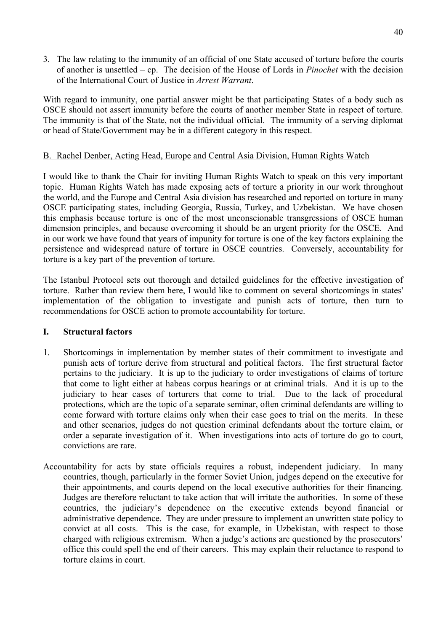3. The law relating to the immunity of an official of one State accused of torture before the courts of another is unsettled – cp. The decision of the House of Lords in *Pinochet* with the decision of the International Court of Justice in *Arrest Warrant*.

With regard to immunity, one partial answer might be that participating States of a body such as OSCE should not assert immunity before the courts of another member State in respect of torture. The immunity is that of the State, not the individual official. The immunity of a serving diplomat or head of State/Government may be in a different category in this respect.

### B. Rachel Denber, Acting Head, Europe and Central Asia Division, Human Rights Watch

I would like to thank the Chair for inviting Human Rights Watch to speak on this very important topic. Human Rights Watch has made exposing acts of torture a priority in our work throughout the world, and the Europe and Central Asia division has researched and reported on torture in many OSCE participating states, including Georgia, Russia, Turkey, and Uzbekistan. We have chosen this emphasis because torture is one of the most unconscionable transgressions of OSCE human dimension principles, and because overcoming it should be an urgent priority for the OSCE. And in our work we have found that years of impunity for torture is one of the key factors explaining the persistence and widespread nature of torture in OSCE countries. Conversely, accountability for torture is a key part of the prevention of torture.

The Istanbul Protocol sets out thorough and detailed guidelines for the effective investigation of torture. Rather than review them here, I would like to comment on several shortcomings in states' implementation of the obligation to investigate and punish acts of torture, then turn to recommendations for OSCE action to promote accountability for torture.

### **I. Structural factors**

- 1. Shortcomings in implementation by member states of their commitment to investigate and punish acts of torture derive from structural and political factors. The first structural factor pertains to the judiciary. It is up to the judiciary to order investigations of claims of torture that come to light either at habeas corpus hearings or at criminal trials. And it is up to the judiciary to hear cases of torturers that come to trial. Due to the lack of procedural protections, which are the topic of a separate seminar, often criminal defendants are willing to come forward with torture claims only when their case goes to trial on the merits. In these and other scenarios, judges do not question criminal defendants about the torture claim, or order a separate investigation of it. When investigations into acts of torture do go to court, convictions are rare.
- Accountability for acts by state officials requires a robust, independent judiciary. In many countries, though, particularly in the former Soviet Union, judges depend on the executive for their appointments, and courts depend on the local executive authorities for their financing. Judges are therefore reluctant to take action that will irritate the authorities. In some of these countries, the judiciary's dependence on the executive extends beyond financial or administrative dependence. They are under pressure to implement an unwritten state policy to convict at all costs. This is the case, for example, in Uzbekistan, with respect to those charged with religious extremism. When a judge's actions are questioned by the prosecutors' office this could spell the end of their careers. This may explain their reluctance to respond to torture claims in court.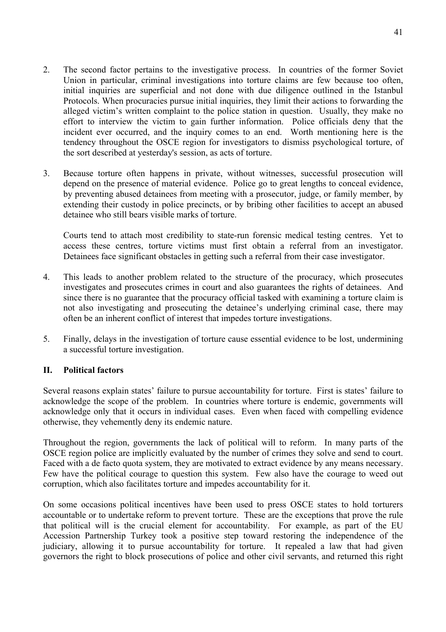- 2. The second factor pertains to the investigative process. In countries of the former Soviet Union in particular, criminal investigations into torture claims are few because too often, initial inquiries are superficial and not done with due diligence outlined in the Istanbul Protocols. When procuracies pursue initial inquiries, they limit their actions to forwarding the alleged victim's written complaint to the police station in question. Usually, they make no effort to interview the victim to gain further information. Police officials deny that the incident ever occurred, and the inquiry comes to an end. Worth mentioning here is the tendency throughout the OSCE region for investigators to dismiss psychological torture, of the sort described at yesterday's session, as acts of torture.
- 3. Because torture often happens in private, without witnesses, successful prosecution will depend on the presence of material evidence. Police go to great lengths to conceal evidence, by preventing abused detainees from meeting with a prosecutor, judge, or family member, by extending their custody in police precincts, or by bribing other facilities to accept an abused detainee who still bears visible marks of torture.

Courts tend to attach most credibility to state-run forensic medical testing centres. Yet to access these centres, torture victims must first obtain a referral from an investigator. Detainees face significant obstacles in getting such a referral from their case investigator.

- 4. This leads to another problem related to the structure of the procuracy, which prosecutes investigates and prosecutes crimes in court and also guarantees the rights of detainees. And since there is no guarantee that the procuracy official tasked with examining a torture claim is not also investigating and prosecuting the detainee's underlying criminal case, there may often be an inherent conflict of interest that impedes torture investigations.
- 5. Finally, delays in the investigation of torture cause essential evidence to be lost, undermining a successful torture investigation.

### **II. Political factors**

Several reasons explain states' failure to pursue accountability for torture. First is states' failure to acknowledge the scope of the problem. In countries where torture is endemic, governments will acknowledge only that it occurs in individual cases. Even when faced with compelling evidence otherwise, they vehemently deny its endemic nature.

Throughout the region, governments the lack of political will to reform. In many parts of the OSCE region police are implicitly evaluated by the number of crimes they solve and send to court. Faced with a de facto quota system, they are motivated to extract evidence by any means necessary. Few have the political courage to question this system. Few also have the courage to weed out corruption, which also facilitates torture and impedes accountability for it.

On some occasions political incentives have been used to press OSCE states to hold torturers accountable or to undertake reform to prevent torture. These are the exceptions that prove the rule that political will is the crucial element for accountability. For example, as part of the EU Accession Partnership Turkey took a positive step toward restoring the independence of the judiciary, allowing it to pursue accountability for torture. It repealed a law that had given governors the right to block prosecutions of police and other civil servants, and returned this right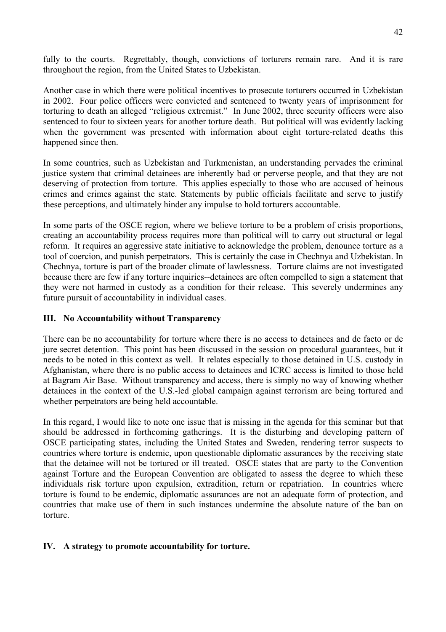fully to the courts. Regrettably, though, convictions of torturers remain rare. And it is rare throughout the region, from the United States to Uzbekistan.

Another case in which there were political incentives to prosecute torturers occurred in Uzbekistan in 2002. Four police officers were convicted and sentenced to twenty years of imprisonment for torturing to death an alleged "religious extremist." In June 2002, three security officers were also sentenced to four to sixteen years for another torture death. But political will was evidently lacking when the government was presented with information about eight torture-related deaths this happened since then.

In some countries, such as Uzbekistan and Turkmenistan, an understanding pervades the criminal justice system that criminal detainees are inherently bad or perverse people, and that they are not deserving of protection from torture. This applies especially to those who are accused of heinous crimes and crimes against the state. Statements by public officials facilitate and serve to justify these perceptions, and ultimately hinder any impulse to hold torturers accountable.

In some parts of the OSCE region, where we believe torture to be a problem of crisis proportions, creating an accountability process requires more than political will to carry out structural or legal reform. It requires an aggressive state initiative to acknowledge the problem, denounce torture as a tool of coercion, and punish perpetrators. This is certainly the case in Chechnya and Uzbekistan. In Chechnya, torture is part of the broader climate of lawlessness. Torture claims are not investigated because there are few if any torture inquiries--detainees are often compelled to sign a statement that they were not harmed in custody as a condition for their release. This severely undermines any future pursuit of accountability in individual cases.

### **III. No Accountability without Transparency**

There can be no accountability for torture where there is no access to detainees and de facto or de jure secret detention. This point has been discussed in the session on procedural guarantees, but it needs to be noted in this context as well. It relates especially to those detained in U.S. custody in Afghanistan, where there is no public access to detainees and ICRC access is limited to those held at Bagram Air Base. Without transparency and access, there is simply no way of knowing whether detainees in the context of the U.S.-led global campaign against terrorism are being tortured and whether perpetrators are being held accountable.

In this regard, I would like to note one issue that is missing in the agenda for this seminar but that should be addressed in forthcoming gatherings. It is the disturbing and developing pattern of OSCE participating states, including the United States and Sweden, rendering terror suspects to countries where torture is endemic, upon questionable diplomatic assurances by the receiving state that the detainee will not be tortured or ill treated. OSCE states that are party to the Convention against Torture and the European Convention are obligated to assess the degree to which these individuals risk torture upon expulsion, extradition, return or repatriation. In countries where torture is found to be endemic, diplomatic assurances are not an adequate form of protection, and countries that make use of them in such instances undermine the absolute nature of the ban on torture.

### **IV. A strategy to promote accountability for torture.**